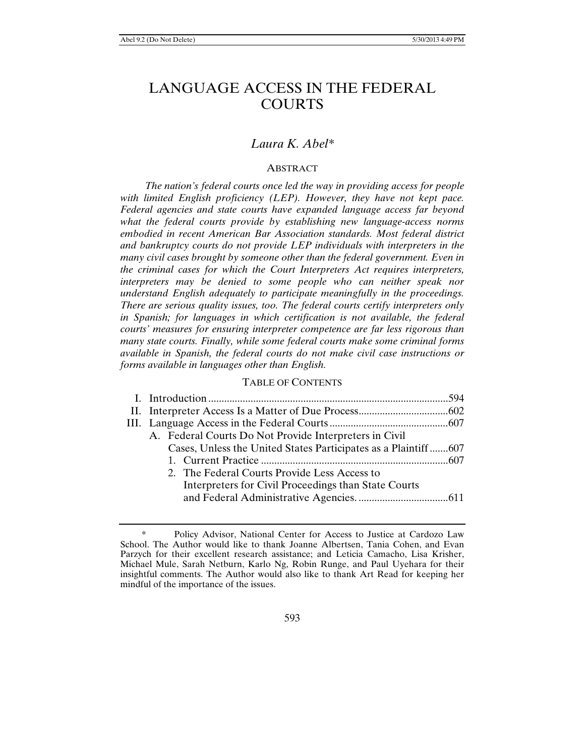# LANGUAGE ACCESS IN THE FEDERAL COURTS

## *Laura K. Abel\**

## ABSTRACT

*The nation's federal courts once led the way in providing access for people with limited English proficiency (LEP). However, they have not kept pace. Federal agencies and state courts have expanded language access far beyond what the federal courts provide by establishing new language-access norms embodied in recent American Bar Association standards. Most federal district and bankruptcy courts do not provide LEP individuals with interpreters in the many civil cases brought by someone other than the federal government. Even in the criminal cases for which the Court Interpreters Act requires interpreters, interpreters may be denied to some people who can neither speak nor understand English adequately to participate meaningfully in the proceedings. There are serious quality issues, too. The federal courts certify interpreters only in Spanish; for languages in which certification is not available, the federal courts' measures for ensuring interpreter competence are far less rigorous than many state courts. Finally, while some federal courts make some criminal forms available in Spanish, the federal courts do not make civil case instructions or forms available in languages other than English.* 

#### TABLE OF CONTENTS

| A. Federal Courts Do Not Provide Interpreters in Civil         |  |
|----------------------------------------------------------------|--|
| Cases, Unless the United States Participates as a Plaintiff607 |  |
|                                                                |  |
| 2. The Federal Courts Provide Less Access to                   |  |
| Interpreters for Civil Proceedings than State Courts           |  |
|                                                                |  |
|                                                                |  |

 <sup>\*</sup> Policy Advisor, National Center for Access to Justice at Cardozo Law School. The Author would like to thank Joanne Albertsen, Tania Cohen, and Evan Parzych for their excellent research assistance; and Leticia Camacho, Lisa Krisher, Michael Mule, Sarah Netburn, Karlo Ng, Robin Runge, and Paul Uyehara for their insightful comments. The Author would also like to thank Art Read for keeping her mindful of the importance of the issues.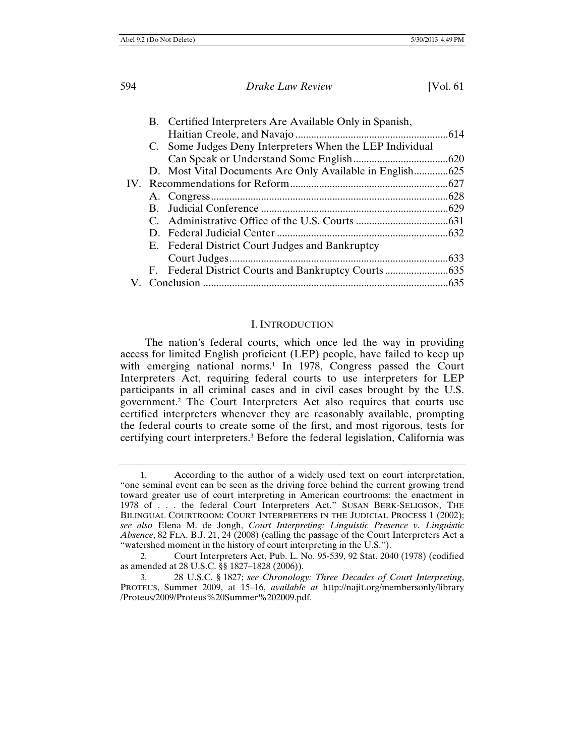|  | B. Certified Interpreters Are Available Only in Spanish, |      |
|--|----------------------------------------------------------|------|
|  |                                                          |      |
|  | C. Some Judges Deny Interpreters When the LEP Individual |      |
|  |                                                          |      |
|  | D. Most Vital Documents Are Only Available in English625 |      |
|  |                                                          |      |
|  |                                                          |      |
|  |                                                          |      |
|  |                                                          |      |
|  |                                                          |      |
|  | E. Federal District Court Judges and Bankruptcy          |      |
|  |                                                          | .633 |
|  |                                                          |      |
|  |                                                          | .635 |

#### I. INTRODUCTION

The nation's federal courts, which once led the way in providing access for limited English proficient (LEP) people, have failed to keep up with emerging national norms.<sup>1</sup> In 1978, Congress passed the Court Interpreters Act, requiring federal courts to use interpreters for LEP participants in all criminal cases and in civil cases brought by the U.S. government.2 The Court Interpreters Act also requires that courts use certified interpreters whenever they are reasonably available, prompting the federal courts to create some of the first, and most rigorous, tests for certifying court interpreters.3 Before the federal legislation, California was

<sup>1.</sup> According to the author of a widely used text on court interpretation, "one seminal event can be seen as the driving force behind the current growing trend toward greater use of court interpreting in American courtrooms: the enactment in 1978 of . . . the federal Court Interpreters Act." SUSAN BERK-SELIGSON, THE BILINGUAL COURTROOM: COURT INTERPRETERS IN THE JUDICIAL PROCESS 1 (2002); *see also* Elena M. de Jongh, *Court Interpreting: Linguistic Presence v. Linguistic Absence*, 82 FLA. B.J. 21, 24 (2008) (calling the passage of the Court Interpreters Act a "watershed moment in the history of court interpreting in the U.S.").

<sup>2.</sup> Court Interpreters Act, Pub. L. No. 95-539, 92 Stat. 2040 (1978) (codified as amended at 28 U.S.C. §§ 1827–1828 (2006)).

<sup>3. 28</sup> U.S.C. § 1827; *see Chronology: Three Decades of Court Interpreting*, PROTEUS, Summer 2009, at 15–16, *available at* http://najit.org/membersonly/library /Proteus/2009/Proteus%20Summer%202009.pdf.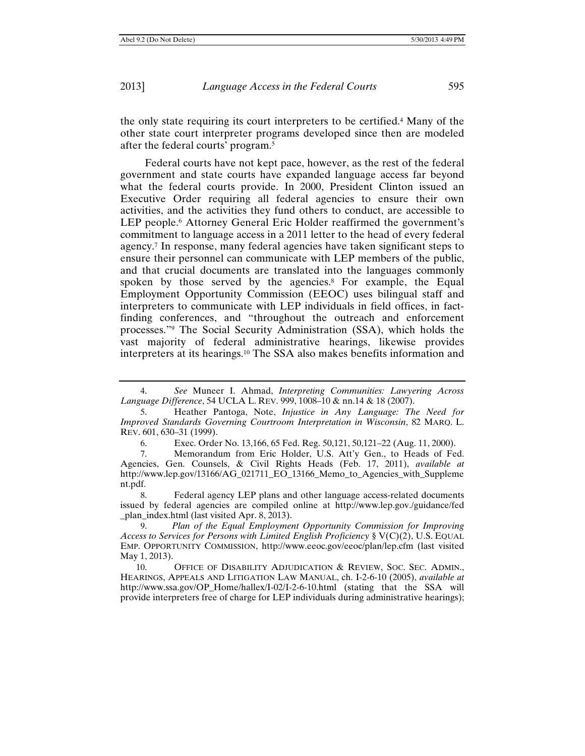the only state requiring its court interpreters to be certified.4 Many of the other state court interpreter programs developed since then are modeled after the federal courts' program.5

Federal courts have not kept pace, however, as the rest of the federal government and state courts have expanded language access far beyond what the federal courts provide. In 2000, President Clinton issued an Executive Order requiring all federal agencies to ensure their own activities, and the activities they fund others to conduct, are accessible to LEP people.<sup>6</sup> Attorney General Eric Holder reaffirmed the government's commitment to language access in a 2011 letter to the head of every federal agency.7 In response, many federal agencies have taken significant steps to ensure their personnel can communicate with LEP members of the public, and that crucial documents are translated into the languages commonly spoken by those served by the agencies.<sup>8</sup> For example, the Equal Employment Opportunity Commission (EEOC) uses bilingual staff and interpreters to communicate with LEP individuals in field offices, in factfinding conferences, and "throughout the outreach and enforcement processes."9 The Social Security Administration (SSA), which holds the vast majority of federal administrative hearings, likewise provides interpreters at its hearings.10 The SSA also makes benefits information and

<sup>4.</sup> *See* Muneer I. Ahmad, *Interpreting Communities: Lawyering Across Language Difference*, 54 UCLA L. REV. 999, 1008–10 & nn.14 & 18 (2007).

<sup>5.</sup> Heather Pantoga, Note, *Injustice in Any Language: The Need for Improved Standards Governing Courtroom Interpretation in Wisconsin*, 82 MARQ. L. REV. 601, 630–31 (1999).

<sup>6.</sup> Exec. Order No. 13,166, 65 Fed. Reg. 50,121, 50,121–22 (Aug. 11, 2000).

<sup>7.</sup> Memorandum from Eric Holder, U.S. Att'y Gen., to Heads of Fed. Agencies, Gen. Counsels, & Civil Rights Heads (Feb. 17, 2011), *available at* http://www.lep.gov/13166/AG\_021711\_EO\_13166\_Memo\_to\_Agencies\_with\_Suppleme nt.pdf.

<sup>8.</sup> Federal agency LEP plans and other language access-related documents issued by federal agencies are compiled online at http://www.lep.gov./guidance/fed \_plan\_index.html (last visited Apr. 8, 2013).

<sup>9.</sup> *Plan of the Equal Employment Opportunity Commission for Improving Access to Services for Persons with Limited English Proficiency* § V(C)(2), U.S. EQUAL EMP. OPPORTUNITY COMMISSION, http://www.eeoc.gov/eeoc/plan/lep.cfm (last visited May 1, 2013).

<sup>10.</sup> OFFICE OF DISABILITY ADJUDICATION & REVIEW, SOC. SEC. ADMIN., HEARINGS, APPEALS AND LITIGATION LAW MANUAL, ch. I-2-6-10 (2005), *available at*  http://www.ssa.gov/OP\_Home/hallex/I-02/I-2-6-10.html (stating that the SSA will provide interpreters free of charge for LEP individuals during administrative hearings);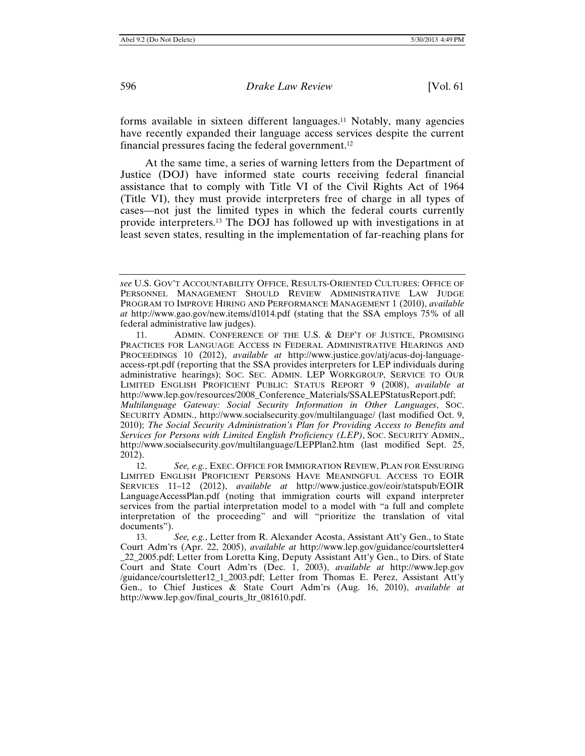forms available in sixteen different languages.11 Notably, many agencies have recently expanded their language access services despite the current financial pressures facing the federal government.12

At the same time, a series of warning letters from the Department of Justice (DOJ) have informed state courts receiving federal financial assistance that to comply with Title VI of the Civil Rights Act of 1964 (Title VI), they must provide interpreters free of charge in all types of cases—not just the limited types in which the federal courts currently provide interpreters.13 The DOJ has followed up with investigations in at least seven states, resulting in the implementation of far-reaching plans for

*see* U.S. GOV'T ACCOUNTABILITY OFFICE, RESULTS-ORIENTED CULTURES: OFFICE OF PERSONNEL MANAGEMENT SHOULD REVIEW ADMINISTRATIVE LAW JUDGE PROGRAM TO IMPROVE HIRING AND PERFORMANCE MANAGEMENT 1 (2010), *available at* http://www.gao.gov/new.items/d1014.pdf (stating that the SSA employs 75% of all federal administrative law judges).

<sup>11.</sup> ADMIN. CONFERENCE OF THE U.S. & DEP'T OF JUSTICE, PROMISING PRACTICES FOR LANGUAGE ACCESS IN FEDERAL ADMINISTRATIVE HEARINGS AND PROCEEDINGS 10 (2012), *available at* http://www.justice.gov/atj/acus-doj-languageaccess-rpt.pdf (reporting that the SSA provides interpreters for LEP individuals during administrative hearings); SOC. SEC. ADMIN. LEP WORKGROUP, SERVICE TO OUR LIMITED ENGLISH PROFICIENT PUBLIC: STATUS REPORT 9 (2008), *available at* http://www.lep.gov/resources/2008\_Conference\_Materials/SSALEPStatusReport.pdf; *Multilanguage Gateway: Social Security Information in Other Languages*, SOC. SECURITY ADMIN., http://www.socialsecurity.gov/multilanguage/ (last modified Oct. 9, 2010); *The Social Security Administration's Plan for Providing Access to Benefits and Services for Persons with Limited English Proficiency (LEP)*, SOC. SECURITY ADMIN., http://www.socialsecurity.gov/multilanguage/LEPPlan2.htm (last modified Sept. 25, 2012).

<sup>12.</sup> *See, e.g.*, EXEC. OFFICE FOR IMMIGRATION REVIEW, PLAN FOR ENSURING LIMITED ENGLISH PROFICIENT PERSONS HAVE MEANINGFUL ACCESS TO EOIR SERVICES 11–12 (2012), *available at* http://www.justice.gov/eoir/statspub/EOIR LanguageAccessPlan.pdf (noting that immigration courts will expand interpreter services from the partial interpretation model to a model with "a full and complete interpretation of the proceeding" and will "prioritize the translation of vital documents").

<sup>13.</sup> *See, e.g.*, Letter from R. Alexander Acosta, Assistant Att'y Gen., to State Court Adm'rs (Apr. 22, 2005), *available at* http://www.lep.gov/guidance/courtsletter4 \_22\_2005.pdf; Letter from Loretta King, Deputy Assistant Att'y Gen., to Dirs. of State Court and State Court Adm'rs (Dec. 1, 2003), *available at* http://www.lep.gov /guidance/courtsletter12\_1\_2003.pdf; Letter from Thomas E. Perez, Assistant Att'y Gen., to Chief Justices & State Court Adm'rs (Aug. 16, 2010), *available at* http://www.lep.gov/final\_courts\_ltr\_081610.pdf.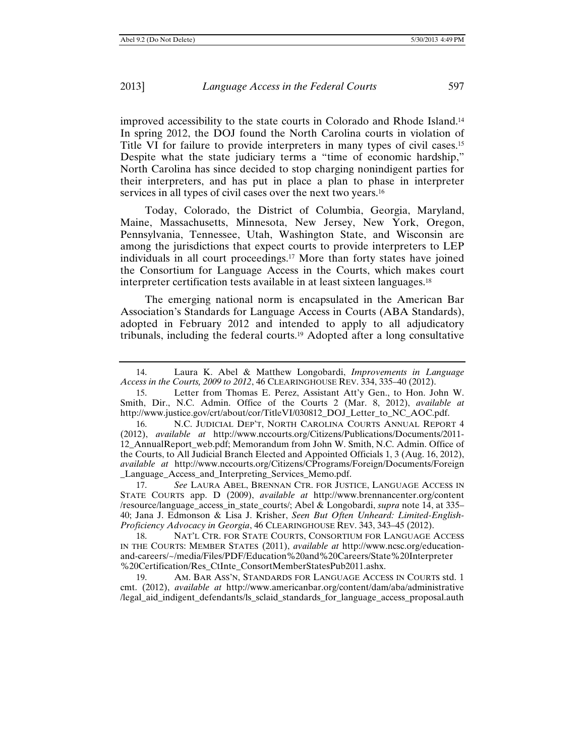improved accessibility to the state courts in Colorado and Rhode Island.14 In spring 2012, the DOJ found the North Carolina courts in violation of Title VI for failure to provide interpreters in many types of civil cases.15 Despite what the state judiciary terms a "time of economic hardship," North Carolina has since decided to stop charging nonindigent parties for their interpreters, and has put in place a plan to phase in interpreter services in all types of civil cases over the next two years.<sup>16</sup>

Today, Colorado, the District of Columbia, Georgia, Maryland, Maine, Massachusetts, Minnesota, New Jersey, New York, Oregon, Pennsylvania, Tennessee, Utah, Washington State, and Wisconsin are among the jurisdictions that expect courts to provide interpreters to LEP individuals in all court proceedings.17 More than forty states have joined the Consortium for Language Access in the Courts, which makes court interpreter certification tests available in at least sixteen languages.18

The emerging national norm is encapsulated in the American Bar Association's Standards for Language Access in Courts (ABA Standards), adopted in February 2012 and intended to apply to all adjudicatory tribunals, including the federal courts.19 Adopted after a long consultative

17. *See* LAURA ABEL, BRENNAN CTR. FOR JUSTICE, LANGUAGE ACCESS IN STATE COURTS app. D (2009), *available at* http://www.brennancenter.org/content /resource/language\_access\_in\_state\_courts/; Abel & Longobardi, *supra* note 14, at 335– 40; Jana J. Edmonson & Lisa J. Krisher, *Seen But Often Unheard: Limited-English-Proficiency Advocacy in Georgia*, 46 CLEARINGHOUSE REV. 343, 343–45 (2012).

18. NAT'L CTR. FOR STATE COURTS, CONSORTIUM FOR LANGUAGE ACCESS IN THE COURTS: MEMBER STATES (2011), *available at* http://www.ncsc.org/educationand-careers/~/media/Files/PDF/Education%20and%20Careers/State%20Interpreter %20Certification/Res\_CtInte\_ConsortMemberStatesPub2011.ashx.

19. AM. BAR ASS'N, STANDARDS FOR LANGUAGE ACCESS IN COURTS std. 1 cmt. (2012), *available at* http://www.americanbar.org/content/dam/aba/administrative /legal\_aid\_indigent\_defendants/ls\_sclaid\_standards\_for\_language\_access\_proposal.auth

<sup>14.</sup> Laura K. Abel & Matthew Longobardi, *Improvements in Language Access in the Courts, 2009 to 2012*, 46 CLEARINGHOUSE REV. 334, 335–40 (2012).

<sup>15.</sup> Letter from Thomas E. Perez, Assistant Att'y Gen., to Hon. John W. Smith, Dir., N.C. Admin. Office of the Courts 2 (Mar. 8, 2012), *available at* http://www.justice.gov/crt/about/cor/TitleVI/030812\_DOJ\_Letter\_to\_NC\_AOC.pdf.

<sup>16.</sup> N.C. JUDICIAL DEP'T, NORTH CAROLINA COURTS ANNUAL REPORT 4 (2012), *available at* http://www.nccourts.org/Citizens/Publications/Documents/2011- 12\_AnnualReport\_web.pdf; Memorandum from John W. Smith, N.C. Admin. Office of the Courts, to All Judicial Branch Elected and Appointed Officials 1, 3 (Aug. 16, 2012), *available at* http://www.nccourts.org/Citizens/CPrograms/Foreign/Documents/Foreign \_Language\_Access\_and\_Interpreting\_Services\_Memo.pdf.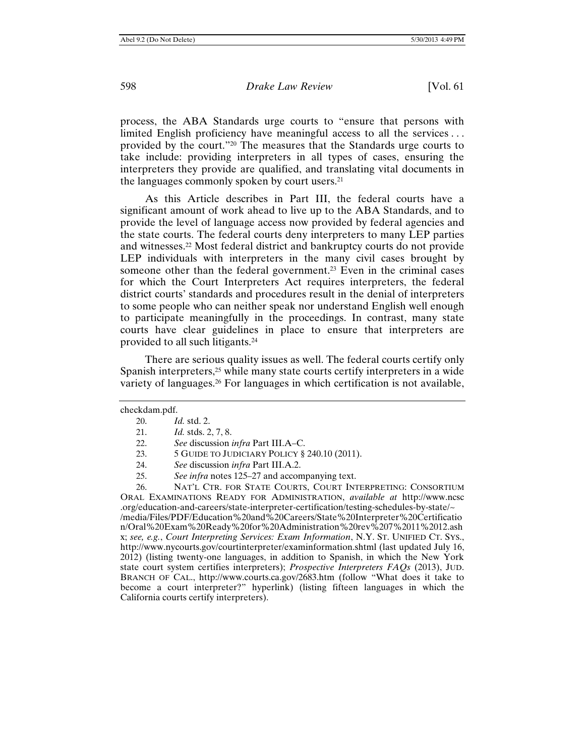process, the ABA Standards urge courts to "ensure that persons with limited English proficiency have meaningful access to all the services . . . provided by the court."20 The measures that the Standards urge courts to take include: providing interpreters in all types of cases, ensuring the interpreters they provide are qualified, and translating vital documents in the languages commonly spoken by court users.21

As this Article describes in Part III, the federal courts have a significant amount of work ahead to live up to the ABA Standards, and to provide the level of language access now provided by federal agencies and the state courts. The federal courts deny interpreters to many LEP parties and witnesses.22 Most federal district and bankruptcy courts do not provide LEP individuals with interpreters in the many civil cases brought by someone other than the federal government.<sup>23</sup> Even in the criminal cases for which the Court Interpreters Act requires interpreters, the federal district courts' standards and procedures result in the denial of interpreters to some people who can neither speak nor understand English well enough to participate meaningfully in the proceedings. In contrast, many state courts have clear guidelines in place to ensure that interpreters are provided to all such litigants.24

There are serious quality issues as well. The federal courts certify only Spanish interpreters,<sup>25</sup> while many state courts certify interpreters in a wide variety of languages.26 For languages in which certification is not available,

California courts certify interpreters).

23. 5 GUIDE TO JUDICIARY POLICY § 240.10 (2011).

26. NAT'L CTR. FOR STATE COURTS, COURT INTERPRETING: CONSORTIUM ORAL EXAMINATIONS READY FOR ADMINISTRATION, *available at* http://www.ncsc .org/education-and-careers/state-interpreter-certification/testing-schedules-by-state/~ /media/Files/PDF/Education%20and%20Careers/State%20Interpreter%20Certificatio n/Oral%20Exam%20Ready%20for%20Administration%20rev%207%2011%2012.ash x; *see, e.g.*, *Court Interpreting Services: Exam Information*, N.Y. ST. UNIFIED CT. SYS., http://www.nycourts.gov/courtinterpreter/examinformation.shtml (last updated July 16, 2012) (listing twenty-one languages, in addition to Spanish, in which the New York state court system certifies interpreters); *Prospective Interpreters FAQs* (2013), JUD. BRANCH OF CAL., http://www.courts.ca.gov/2683.htm (follow "What does it take to

become a court interpreter?" hyperlink) (listing fifteen languages in which the

checkdam.pdf.

<sup>20.</sup> *Id.* std. 2.

<sup>21.</sup> *Id.* stds. 2, 7, 8.

<sup>22.</sup> *See* discussion *infra* Part III.A–C.

<sup>24.</sup> *See* discussion *infra* Part III.A.2.

<sup>25.</sup> *See infra* notes 125–27 and accompanying text.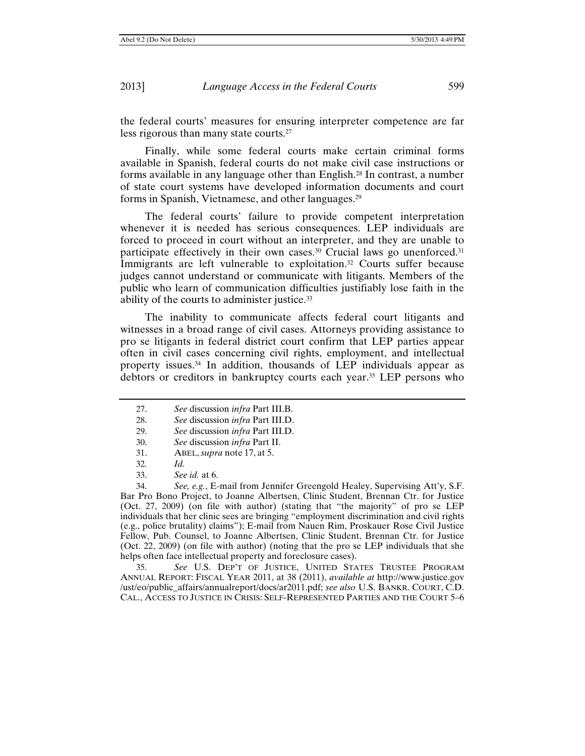the federal courts' measures for ensuring interpreter competence are far less rigorous than many state courts.27

Finally, while some federal courts make certain criminal forms available in Spanish, federal courts do not make civil case instructions or forms available in any language other than English.28 In contrast, a number of state court systems have developed information documents and court forms in Spanish, Vietnamese, and other languages.29

The federal courts' failure to provide competent interpretation whenever it is needed has serious consequences. LEP individuals are forced to proceed in court without an interpreter, and they are unable to participate effectively in their own cases.<sup>30</sup> Crucial laws go unenforced.<sup>31</sup> Immigrants are left vulnerable to exploitation.<sup>32</sup> Courts suffer because judges cannot understand or communicate with litigants. Members of the public who learn of communication difficulties justifiably lose faith in the ability of the courts to administer justice.33

The inability to communicate affects federal court litigants and witnesses in a broad range of civil cases. Attorneys providing assistance to pro se litigants in federal district court confirm that LEP parties appear often in civil cases concerning civil rights, employment, and intellectual property issues.34 In addition, thousands of LEP individuals appear as debtors or creditors in bankruptcy courts each year.35 LEP persons who

29. *See* discussion *infra* Part III.D.

- 31. ABEL, *supra* note 17, at 5.
- 32*. Id.*
- 33. *See id.* at 6.

34. *See, e.g.*, E-mail from Jennifer Greengold Healey, Supervising Att'y, S.F. Bar Pro Bono Project, to Joanne Albertsen, Clinic Student, Brennan Ctr. for Justice (Oct. 27, 2009) (on file with author) (stating that "the majority" of pro se LEP individuals that her clinic sees are bringing "employment discrimination and civil rights (e.g., police brutality) claims"); E-mail from Nauen Rim, Proskauer Rose Civil Justice Fellow, Pub. Counsel, to Joanne Albertsen, Clinic Student, Brennan Ctr. for Justice (Oct. 22, 2009) (on file with author) (noting that the pro se LEP individuals that she helps often face intellectual property and foreclosure cases).

35. *See* U.S. DEP'T OF JUSTICE, UNITED STATES TRUSTEE PROGRAM ANNUAL REPORT: FISCAL YEAR 2011, at 38 (2011), *available at* http://www.justice.gov /ust/eo/public\_affairs/annualreport/docs/ar2011.pdf; *see also* U.S. BANKR. COURT, C.D. CAL., ACCESS TO JUSTICE IN CRISIS: SELF-REPRESENTED PARTIES AND THE COURT 5–6

<sup>27.</sup> *See* discussion *infra* Part III.B.

<sup>28.</sup> *See* discussion *infra* Part III.D.

<sup>30.</sup> *See* discussion *infra* Part II.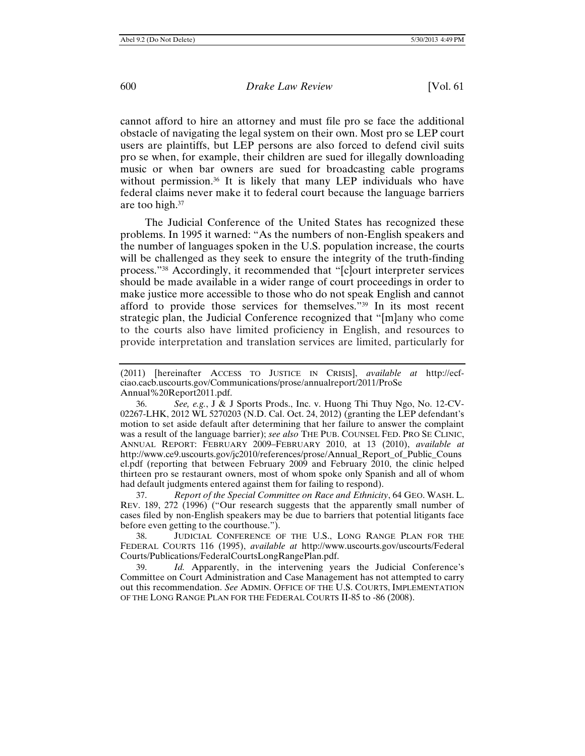cannot afford to hire an attorney and must file pro se face the additional obstacle of navigating the legal system on their own. Most pro se LEP court users are plaintiffs, but LEP persons are also forced to defend civil suits pro se when, for example, their children are sued for illegally downloading music or when bar owners are sued for broadcasting cable programs without permission.<sup>36</sup> It is likely that many LEP individuals who have federal claims never make it to federal court because the language barriers are too high.37

The Judicial Conference of the United States has recognized these problems. In 1995 it warned: "As the numbers of non-English speakers and the number of languages spoken in the U.S. population increase, the courts will be challenged as they seek to ensure the integrity of the truth-finding process."38 Accordingly, it recommended that "[c]ourt interpreter services should be made available in a wider range of court proceedings in order to make justice more accessible to those who do not speak English and cannot afford to provide those services for themselves."39 In its most recent strategic plan, the Judicial Conference recognized that "[m]any who come to the courts also have limited proficiency in English, and resources to provide interpretation and translation services are limited, particularly for

36. *See, e.g.*, J & J Sports Prods., Inc. v. Huong Thi Thuy Ngo, No. 12-CV-02267-LHK, 2012 WL 5270203 (N.D. Cal. Oct. 24, 2012) (granting the LEP defendant's motion to set aside default after determining that her failure to answer the complaint was a result of the language barrier); *see also* THE PUB. COUNSEL FED. PRO SE CLINIC, ANNUAL REPORT: FEBRUARY 2009–FEBRUARY 2010, at 13 (2010), *available at*  http://www.ce9.uscourts.gov/jc2010/references/prose/Annual\_Report\_of\_Public\_Couns el.pdf (reporting that between February 2009 and February 2010, the clinic helped thirteen pro se restaurant owners, most of whom spoke only Spanish and all of whom had default judgments entered against them for failing to respond).

37. *Report of the Special Committee on Race and Ethnicity*, 64 GEO. WASH. L. REV. 189, 272 (1996) ("Our research suggests that the apparently small number of cases filed by non-English speakers may be due to barriers that potential litigants face before even getting to the courthouse.").

38. JUDICIAL CONFERENCE OF THE U.S., LONG RANGE PLAN FOR THE FEDERAL COURTS 116 (1995), *available at* http://www.uscourts.gov/uscourts/Federal Courts/Publications/FederalCourtsLongRangePlan.pdf.

39. *Id.* Apparently, in the intervening years the Judicial Conference's Committee on Court Administration and Case Management has not attempted to carry out this recommendation. *See* ADMIN. OFFICE OF THE U.S. COURTS, IMPLEMENTATION OF THE LONG RANGE PLAN FOR THE FEDERAL COURTS II-85 to -86 (2008).

<sup>(2011) [</sup>hereinafter ACCESS TO JUSTICE IN CRISIS], *available at* http://ecfciao.cacb.uscourts.gov/Communications/prose/annualreport/2011/ProSe Annual%20Report2011.pdf.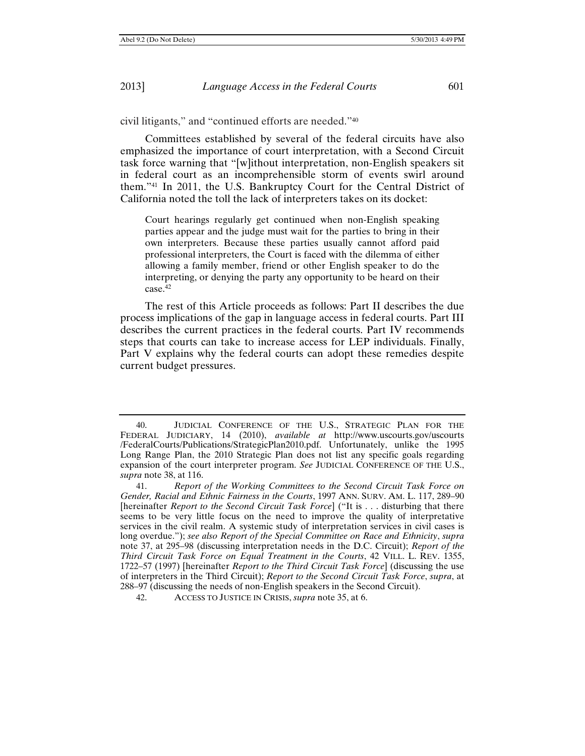civil litigants," and "continued efforts are needed."40

Committees established by several of the federal circuits have also emphasized the importance of court interpretation, with a Second Circuit task force warning that "[w]ithout interpretation, non-English speakers sit in federal court as an incomprehensible storm of events swirl around them."41 In 2011, the U.S. Bankruptcy Court for the Central District of California noted the toll the lack of interpreters takes on its docket:

Court hearings regularly get continued when non-English speaking parties appear and the judge must wait for the parties to bring in their own interpreters. Because these parties usually cannot afford paid professional interpreters, the Court is faced with the dilemma of either allowing a family member, friend or other English speaker to do the interpreting, or denying the party any opportunity to be heard on their case.42

The rest of this Article proceeds as follows: Part II describes the due process implications of the gap in language access in federal courts. Part III describes the current practices in the federal courts. Part IV recommends steps that courts can take to increase access for LEP individuals. Finally, Part V explains why the federal courts can adopt these remedies despite current budget pressures.

<sup>40.</sup> JUDICIAL CONFERENCE OF THE U.S., STRATEGIC PLAN FOR THE FEDERAL JUDICIARY, 14 (2010), *available at* http://www.uscourts.gov/uscourts /FederalCourts/Publications/StrategicPlan2010.pdf. Unfortunately, unlike the 1995 Long Range Plan, the 2010 Strategic Plan does not list any specific goals regarding expansion of the court interpreter program. *See* JUDICIAL CONFERENCE OF THE U.S., *supra* note 38, at 116.

<sup>41.</sup> *Report of the Working Committees to the Second Circuit Task Force on Gender, Racial and Ethnic Fairness in the Courts*, 1997 ANN. SURV. AM. L. 117, 289–90 [hereinafter *Report to the Second Circuit Task Force*] ("It is . . . disturbing that there seems to be very little focus on the need to improve the quality of interpretative services in the civil realm. A systemic study of interpretation services in civil cases is long overdue."); *see also Report of the Special Committee on Race and Ethnicity*, *supra* note 37, at 295–98 (discussing interpretation needs in the D.C. Circuit); *Report of the Third Circuit Task Force on Equal Treatment in the Courts*, 42 VILL. L. REV. 1355, 1722–57 (1997) [hereinafter *Report to the Third Circuit Task Force*] (discussing the use of interpreters in the Third Circuit); *Report to the Second Circuit Task Force*, *supra*, at 288–97 (discussing the needs of non-English speakers in the Second Circuit).

<sup>42.</sup> ACCESS TO JUSTICE IN CRISIS, *supra* note 35, at 6.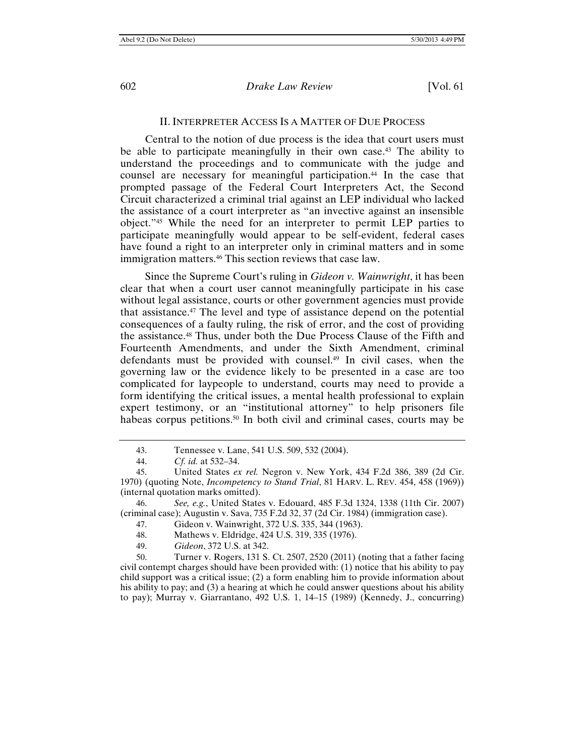#### II. INTERPRETER ACCESS IS A MATTER OF DUE PROCESS

Central to the notion of due process is the idea that court users must be able to participate meaningfully in their own case.<sup>43</sup> The ability to understand the proceedings and to communicate with the judge and counsel are necessary for meaningful participation.44 In the case that prompted passage of the Federal Court Interpreters Act, the Second Circuit characterized a criminal trial against an LEP individual who lacked the assistance of a court interpreter as "an invective against an insensible object."45 While the need for an interpreter to permit LEP parties to participate meaningfully would appear to be self-evident, federal cases have found a right to an interpreter only in criminal matters and in some immigration matters.46 This section reviews that case law.

Since the Supreme Court's ruling in *Gideon v. Wainwright*, it has been clear that when a court user cannot meaningfully participate in his case without legal assistance, courts or other government agencies must provide that assistance.47 The level and type of assistance depend on the potential consequences of a faulty ruling, the risk of error, and the cost of providing the assistance.48 Thus, under both the Due Process Clause of the Fifth and Fourteenth Amendments, and under the Sixth Amendment, criminal defendants must be provided with counsel.49 In civil cases, when the governing law or the evidence likely to be presented in a case are too complicated for laypeople to understand, courts may need to provide a form identifying the critical issues, a mental health professional to explain expert testimony, or an "institutional attorney" to help prisoners file habeas corpus petitions.<sup>50</sup> In both civil and criminal cases, courts may be

50. Turner v. Rogers, 131 S. Ct. 2507, 2520 (2011) (noting that a father facing civil contempt charges should have been provided with: (1) notice that his ability to pay child support was a critical issue; (2) a form enabling him to provide information about his ability to pay; and (3) a hearing at which he could answer questions about his ability to pay); Murray v. Giarrantano, 492 U.S. 1, 14–15 (1989) (Kennedy, J., concurring)

<sup>43.</sup> Tennessee v. Lane, 541 U.S. 509, 532 (2004).

<sup>44.</sup> *Cf. id.* at 532–34.

<sup>45.</sup> United States *ex rel.* Negron v. New York, 434 F.2d 386, 389 (2d Cir. 1970) (quoting Note, *Incompetency to Stand Trial*, 81 HARV. L. REV. 454, 458 (1969)) (internal quotation marks omitted).

<sup>46.</sup> *See, e.g.*, United States v. Edouard, 485 F.3d 1324, 1338 (11th Cir. 2007) (criminal case); Augustin v. Sava, 735 F.2d 32, 37 (2d Cir. 1984) (immigration case).

<sup>47.</sup> Gideon v. Wainwright, 372 U.S. 335, 344 (1963).

<sup>48.</sup> Mathews v. Eldridge, 424 U.S. 319, 335 (1976).

<sup>49.</sup> *Gideon*, 372 U.S. at 342.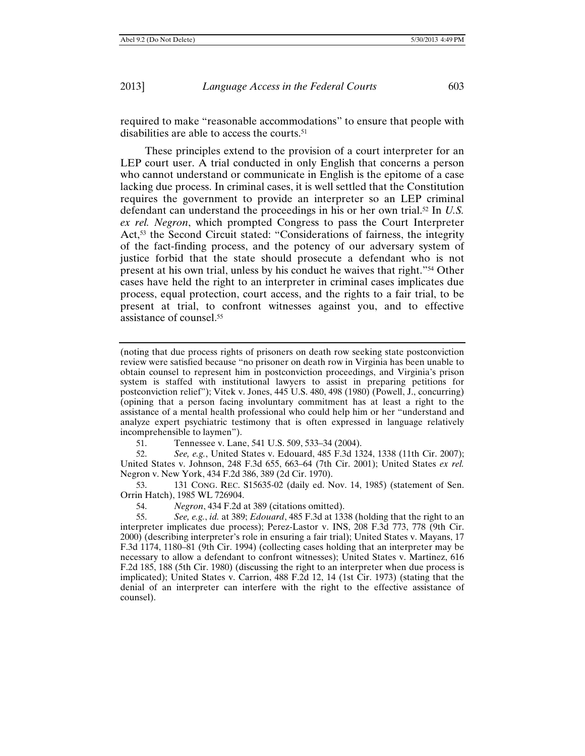required to make "reasonable accommodations" to ensure that people with disabilities are able to access the courts.51

These principles extend to the provision of a court interpreter for an LEP court user. A trial conducted in only English that concerns a person who cannot understand or communicate in English is the epitome of a case lacking due process. In criminal cases, it is well settled that the Constitution requires the government to provide an interpreter so an LEP criminal defendant can understand the proceedings in his or her own trial.52 In *U.S. ex rel. Negron*, which prompted Congress to pass the Court Interpreter Act,<sup>53</sup> the Second Circuit stated: "Considerations of fairness, the integrity of the fact-finding process, and the potency of our adversary system of justice forbid that the state should prosecute a defendant who is not present at his own trial, unless by his conduct he waives that right."54 Other cases have held the right to an interpreter in criminal cases implicates due process, equal protection, court access, and the rights to a fair trial, to be present at trial, to confront witnesses against you, and to effective assistance of counsel.55

(noting that due process rights of prisoners on death row seeking state postconviction review were satisfied because "no prisoner on death row in Virginia has been unable to obtain counsel to represent him in postconviction proceedings, and Virginia's prison system is staffed with institutional lawyers to assist in preparing petitions for postconviction relief"); Vitek v. Jones, 445 U.S. 480, 498 (1980) (Powell, J., concurring) (opining that a person facing involuntary commitment has at least a right to the assistance of a mental health professional who could help him or her "understand and analyze expert psychiatric testimony that is often expressed in language relatively incomprehensible to laymen").

51. Tennessee v. Lane, 541 U.S. 509, 533–34 (2004).

52. *See, e.g.*, United States v. Edouard, 485 F.3d 1324, 1338 (11th Cir. 2007); United States v. Johnson, 248 F.3d 655, 663–64 (7th Cir. 2001); United States *ex rel.* Negron v. New York, 434 F.2d 386, 389 (2d Cir. 1970).

53. 131 CONG. REC. S15635-02 (daily ed. Nov. 14, 1985) (statement of Sen. Orrin Hatch), 1985 WL 726904.

54. *Negron*, 434 F.2d at 389 (citations omitted).

55. *See, e.g.*, *id.* at 389; *Edouard*, 485 F.3d at 1338 (holding that the right to an interpreter implicates due process); Perez-Lastor v. INS, 208 F.3d 773, 778 (9th Cir. 2000) (describing interpreter's role in ensuring a fair trial); United States v. Mayans, 17 F.3d 1174, 1180–81 (9th Cir. 1994) (collecting cases holding that an interpreter may be necessary to allow a defendant to confront witnesses); United States v. Martinez, 616 F.2d 185, 188 (5th Cir. 1980) (discussing the right to an interpreter when due process is implicated); United States v. Carrion, 488 F.2d 12, 14 (1st Cir. 1973) (stating that the denial of an interpreter can interfere with the right to the effective assistance of counsel).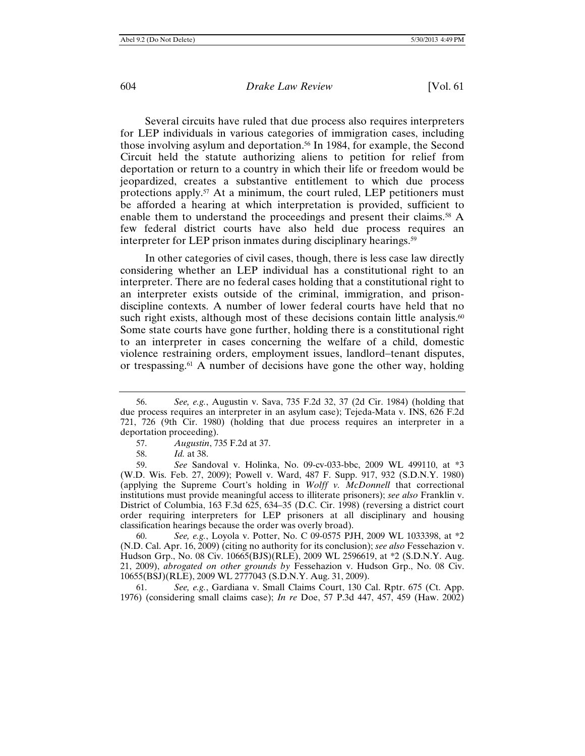Several circuits have ruled that due process also requires interpreters for LEP individuals in various categories of immigration cases, including those involving asylum and deportation.56 In 1984, for example, the Second Circuit held the statute authorizing aliens to petition for relief from deportation or return to a country in which their life or freedom would be jeopardized, creates a substantive entitlement to which due process protections apply.57 At a minimum, the court ruled, LEP petitioners must be afforded a hearing at which interpretation is provided, sufficient to enable them to understand the proceedings and present their claims.58 A few federal district courts have also held due process requires an interpreter for LEP prison inmates during disciplinary hearings.<sup>59</sup>

In other categories of civil cases, though, there is less case law directly considering whether an LEP individual has a constitutional right to an interpreter. There are no federal cases holding that a constitutional right to an interpreter exists outside of the criminal, immigration, and prisondiscipline contexts. A number of lower federal courts have held that no such right exists, although most of these decisions contain little analysis.<sup>60</sup> Some state courts have gone further, holding there is a constitutional right to an interpreter in cases concerning the welfare of a child, domestic violence restraining orders, employment issues, landlord-tenant disputes, or trespassing.61 A number of decisions have gone the other way, holding

60. *See, e.g.*, Loyola v. Potter, No. C 09-0575 PJH, 2009 WL 1033398, at \*2 (N.D. Cal. Apr. 16, 2009) (citing no authority for its conclusion); *see also* Fessehazion v. Hudson Grp., No. 08 Civ. 10665(BJS)(RLE), 2009 WL 2596619, at \*2 (S.D.N.Y. Aug. 21, 2009), *abrogated on other grounds by* Fessehazion v. Hudson Grp., No. 08 Civ. 10655(BSJ)(RLE), 2009 WL 2777043 (S.D.N.Y. Aug. 31, 2009).

61. *See, e.g.*, Gardiana v. Small Claims Court, 130 Cal. Rptr. 675 (Ct. App. 1976) (considering small claims case); *In re* Doe, 57 P.3d 447, 457, 459 (Haw. 2002)

<sup>56.</sup> *See, e.g.*, Augustin v. Sava, 735 F.2d 32, 37 (2d Cir. 1984) (holding that due process requires an interpreter in an asylum case); Tejeda-Mata v. INS, 626 F.2d 721, 726 (9th Cir. 1980) (holding that due process requires an interpreter in a deportation proceeding).

<sup>57.</sup> *Augustin*, 735 F.2d at 37.

<sup>58.</sup> *Id.* at 38.

<sup>59.</sup> *See* Sandoval v. Holinka, No. 09-cv-033-bbc, 2009 WL 499110, at \*3 (W.D. Wis. Feb. 27, 2009); Powell v. Ward, 487 F. Supp. 917, 932 (S.D.N.Y. 1980) (applying the Supreme Court's holding in *Wolff v. McDonnell* that correctional institutions must provide meaningful access to illiterate prisoners); *see also* Franklin v. District of Columbia, 163 F.3d 625, 634–35 (D.C. Cir. 1998) (reversing a district court order requiring interpreters for LEP prisoners at all disciplinary and housing classification hearings because the order was overly broad).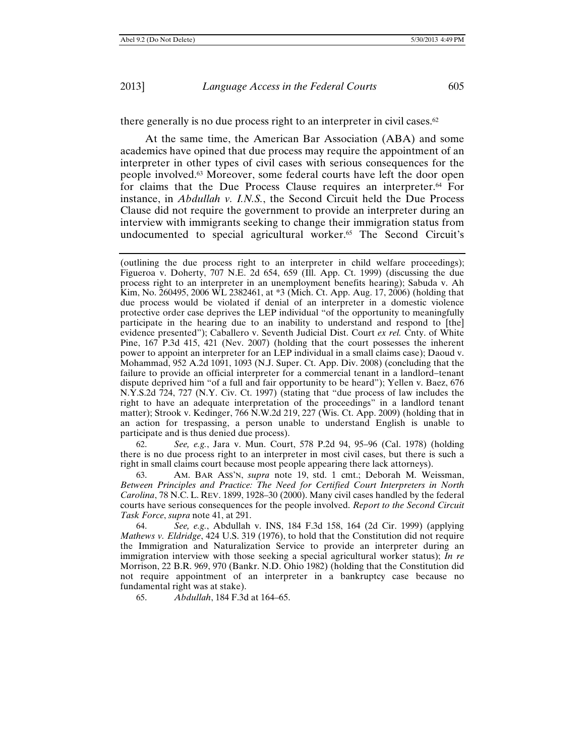there generally is no due process right to an interpreter in civil cases.<sup>62</sup>

At the same time, the American Bar Association (ABA) and some academics have opined that due process may require the appointment of an interpreter in other types of civil cases with serious consequences for the people involved.63 Moreover, some federal courts have left the door open for claims that the Due Process Clause requires an interpreter.64 For instance, in *Abdullah v. I.N.S.*, the Second Circuit held the Due Process Clause did not require the government to provide an interpreter during an interview with immigrants seeking to change their immigration status from undocumented to special agricultural worker.65 The Second Circuit's

62. *See, e.g.*, Jara v. Mun. Court, 578 P.2d 94, 95–96 (Cal. 1978) (holding there is no due process right to an interpreter in most civil cases, but there is such a right in small claims court because most people appearing there lack attorneys).

63. AM. BAR ASS'N, *supra* note 19, std. 1 cmt.; Deborah M. Weissman, *Between Principles and Practice: The Need for Certified Court Interpreters in North Carolina*, 78 N.C. L. REV. 1899, 1928–30 (2000). Many civil cases handled by the federal courts have serious consequences for the people involved. *Report to the Second Circuit Task Force*, *supra* note 41, at 291.

64. *See, e.g.*, Abdullah v. INS, 184 F.3d 158, 164 (2d Cir. 1999) (applying *Mathews v. Eldridge*, 424 U.S. 319 (1976), to hold that the Constitution did not require the Immigration and Naturalization Service to provide an interpreter during an immigration interview with those seeking a special agricultural worker status); *In re* Morrison, 22 B.R. 969, 970 (Bankr. N.D. Ohio 1982) (holding that the Constitution did not require appointment of an interpreter in a bankruptcy case because no fundamental right was at stake).

65. *Abdullah*, 184 F.3d at 164–65.

<sup>(</sup>outlining the due process right to an interpreter in child welfare proceedings); Figueroa v. Doherty, 707 N.E. 2d 654, 659 (Ill. App. Ct. 1999) (discussing the due process right to an interpreter in an unemployment benefits hearing); Sabuda v. Ah Kim, No. 260495, 2006 WL 2382461, at \*3 (Mich. Ct. App. Aug. 17, 2006) (holding that due process would be violated if denial of an interpreter in a domestic violence protective order case deprives the LEP individual "of the opportunity to meaningfully participate in the hearing due to an inability to understand and respond to [the] evidence presented"); Caballero v. Seventh Judicial Dist. Court ex rel. Cnty. of White Pine, 167 P.3d 415, 421 (Nev. 2007) (holding that the court possesses the inherent power to appoint an interpreter for an LEP individual in a small claims case); Daoud v. Mohammad, 952 A.2d 1091, 1093 (N.J. Super. Ct. App. Div. 2008) (concluding that the failure to provide an official interpreter for a commercial tenant in a landlord-tenant dispute deprived him "of a full and fair opportunity to be heard"); Yellen v. Baez, 676 N.Y.S.2d 724, 727 (N.Y. Civ. Ct. 1997) (stating that "due process of law includes the right to have an adequate interpretation of the proceedings" in a landlord tenant matter); Strook v. Kedinger, 766 N.W.2d 219, 227 (Wis. Ct. App. 2009) (holding that in an action for trespassing, a person unable to understand English is unable to participate and is thus denied due process).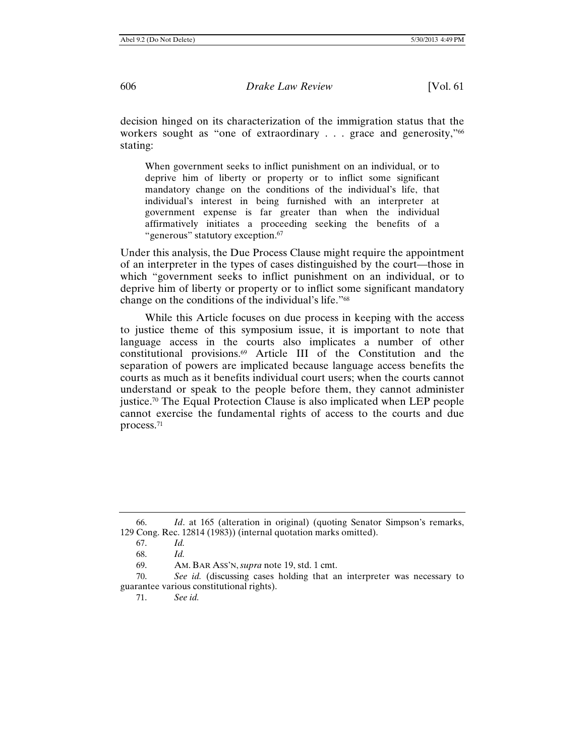decision hinged on its characterization of the immigration status that the workers sought as "one of extraordinary . . . grace and generosity,"<sup>66</sup> stating:

When government seeks to inflict punishment on an individual, or to deprive him of liberty or property or to inflict some significant mandatory change on the conditions of the individual's life, that individual's interest in being furnished with an interpreter at government expense is far greater than when the individual affirmatively initiates a proceeding seeking the benefits of a "generous" statutory exception.<sup>67</sup>

Under this analysis, the Due Process Clause might require the appointment of an interpreter in the types of cases distinguished by the court—those in which "government seeks to inflict punishment on an individual, or to deprive him of liberty or property or to inflict some significant mandatory change on the conditions of the individual's life."68

While this Article focuses on due process in keeping with the access to justice theme of this symposium issue, it is important to note that language access in the courts also implicates a number of other constitutional provisions.69 Article III of the Constitution and the separation of powers are implicated because language access benefits the courts as much as it benefits individual court users; when the courts cannot understand or speak to the people before them, they cannot administer justice.<sup>70</sup> The Equal Protection Clause is also implicated when LEP people cannot exercise the fundamental rights of access to the courts and due process.71

<sup>66.</sup> *Id*. at 165 (alteration in original) (quoting Senator Simpson's remarks, 129 Cong. Rec. 12814 (1983)) (internal quotation marks omitted).

<sup>67.</sup> *Id.*

<sup>68.</sup> *Id.*

<sup>69.</sup> AM. BAR ASS'N, *supra* note 19, std. 1 cmt.

<sup>70.</sup> *See id.* (discussing cases holding that an interpreter was necessary to guarantee various constitutional rights).

<sup>71.</sup> *See id.*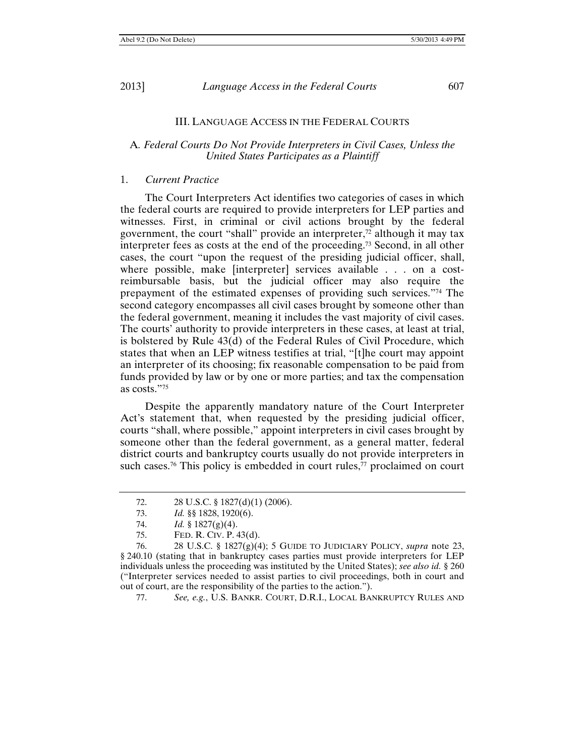#### III. LANGUAGE ACCESS IN THE FEDERAL COURTS

## A*. Federal Courts Do Not Provide Interpreters in Civil Cases, Unless the United States Participates as a Plaintiff*

## 1. *Current Practice*

The Court Interpreters Act identifies two categories of cases in which the federal courts are required to provide interpreters for LEP parties and witnesses. First, in criminal or civil actions brought by the federal government, the court "shall" provide an interpreter, $\frac{72}{12}$  although it may tax interpreter fees as costs at the end of the proceeding.73 Second, in all other cases, the court "upon the request of the presiding judicial officer, shall, where possible, make [interpreter] services available . . . on a costreimbursable basis, but the judicial officer may also require the prepayment of the estimated expenses of providing such services."74 The second category encompasses all civil cases brought by someone other than the federal government, meaning it includes the vast majority of civil cases. The courts' authority to provide interpreters in these cases, at least at trial, is bolstered by Rule 43(d) of the Federal Rules of Civil Procedure, which states that when an LEP witness testifies at trial, "[t]he court may appoint an interpreter of its choosing; fix reasonable compensation to be paid from funds provided by law or by one or more parties; and tax the compensation as costs."75

Despite the apparently mandatory nature of the Court Interpreter Act's statement that, when requested by the presiding judicial officer, courts "shall, where possible," appoint interpreters in civil cases brought by someone other than the federal government, as a general matter, federal district courts and bankruptcy courts usually do not provide interpreters in such cases.<sup>76</sup> This policy is embedded in court rules,<sup>77</sup> proclaimed on court

77. *See, e.g.*, U.S. BANKR. COURT, D.R.I., LOCAL BANKRUPTCY RULES AND

<sup>72. 28</sup> U.S.C. § 1827(d)(1) (2006).

<sup>73.</sup> *Id.* §§ 1828, 1920(6).

<sup>74.</sup> *Id.* § 1827(g)(4).

<sup>75.</sup> FED. R. CIV. P. 43(d).

<sup>76. 28</sup> U.S.C. § 1827(g)(4); 5 GUIDE TO JUDICIARY POLICY, *supra* note 23, § 240.10 (stating that in bankruptcy cases parties must provide interpreters for LEP individuals unless the proceeding was instituted by the United States); *see also id.* § 260 ("Interpreter services needed to assist parties to civil proceedings, both in court and out of court, are the responsibility of the parties to the action.").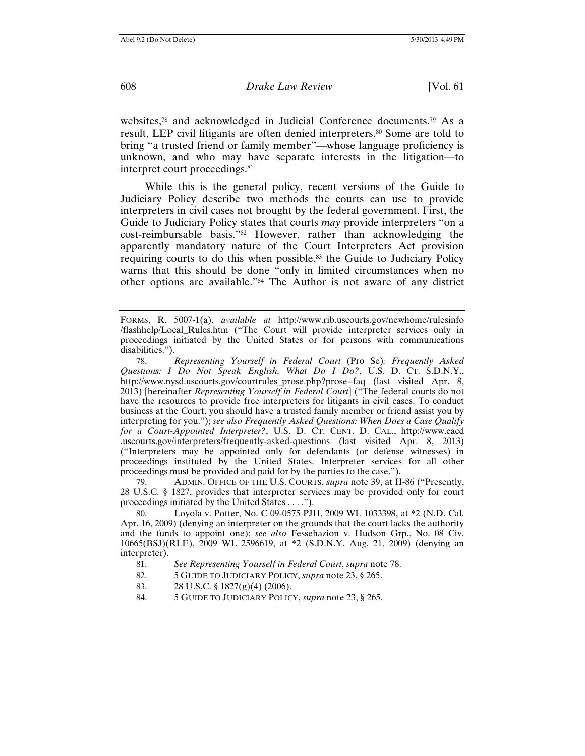websites,78 and acknowledged in Judicial Conference documents.79 As a result, LEP civil litigants are often denied interpreters.80 Some are told to bring "a trusted friend or family member"—whose language proficiency is unknown, and who may have separate interests in the litigation—to interpret court proceedings.<sup>81</sup>

While this is the general policy, recent versions of the Guide to Judiciary Policy describe two methods the courts can use to provide interpreters in civil cases not brought by the federal government. First, the Guide to Judiciary Policy states that courts *may* provide interpreters "on a cost-reimbursable basis."82 However, rather than acknowledging the apparently mandatory nature of the Court Interpreters Act provision requiring courts to do this when possible, $83$  the Guide to Judiciary Policy warns that this should be done "only in limited circumstances when no other options are available."84 The Author is not aware of any district

79. ADMIN. OFFICE OF THE U.S. COURTS, *supra* note 39, at II-86 ("Presently, 28 U.S.C. § 1827, provides that interpreter services may be provided only for court proceedings initiated by the United States . . . .").

Loyola v. Potter, No. C 09-0575 PJH, 2009 WL 1033398, at \*2 (N.D. Cal.) Apr. 16, 2009) (denying an interpreter on the grounds that the court lacks the authority and the funds to appoint one); *see also* Fessehazion v. Hudson Grp., No. 08 Civ. 10665(BSJ)(RLE), 2009 WL 2596619, at \*2 (S.D.N.Y. Aug. 21, 2009) (denying an interpreter).

- 81. *See Representing Yourself in Federal Court*, *supra* note 78.
- 82. 5 GUIDE TO JUDICIARY POLICY, *supra* note 23, § 265.
- 83. 28 U.S.C. § 1827(g)(4) (2006).
- 84. 5 GUIDE TO JUDICIARY POLICY, *supra* note 23, § 265.

FORMS, R. 5007-1(a), *available at* http://www.rib.uscourts.gov/newhome/rulesinfo /flashhelp/Local\_Rules.htm ("The Court will provide interpreter services only in proceedings initiated by the United States or for persons with communications disabilities.").

<sup>78.</sup> *Representing Yourself in Federal Court* (Pro Se)*: Frequently Asked Questions: I Do Not Speak English, What Do I Do?*, U.S. D. CT. S.D.N.Y., http://www.nysd.uscourts.gov/courtrules\_prose.php?prose=faq (last visited Apr. 8, 2013) [hereinafter *Representing Yourself in Federal Court*] ("The federal courts do not have the resources to provide free interpreters for litigants in civil cases. To conduct business at the Court, you should have a trusted family member or friend assist you by interpreting for you."); *see also Frequently Asked Questions: When Does a Case Qualify for a Court-Appointed Interpreter?*, U.S. D. CT. CENT. D. CAL., http://www.cacd .uscourts.gov/interpreters/frequently-asked-questions (last visited Apr. 8, 2013) ("Interpreters may be appointed only for defendants (or defense witnesses) in proceedings instituted by the United States. Interpreter services for all other proceedings must be provided and paid for by the parties to the case.").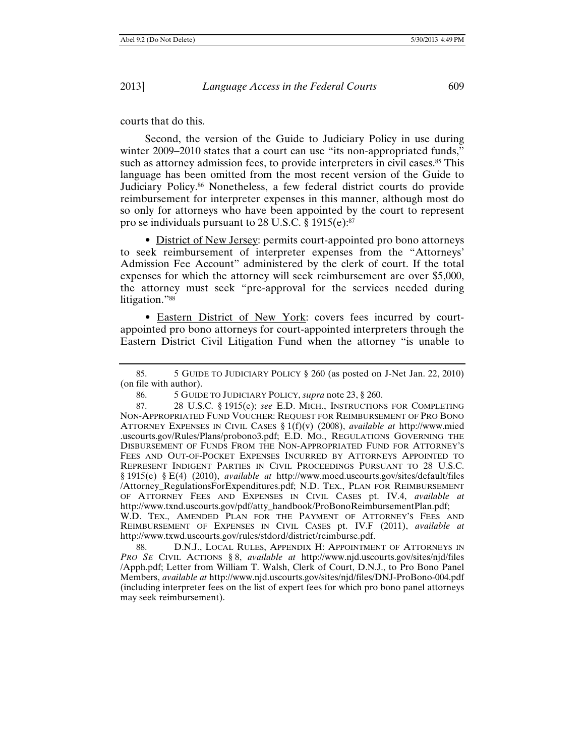courts that do this.

Second, the version of the Guide to Judiciary Policy in use during winter 2009-2010 states that a court can use "its non-appropriated funds," such as attorney admission fees, to provide interpreters in civil cases.<sup>85</sup> This language has been omitted from the most recent version of the Guide to Judiciary Policy.86 Nonetheless, a few federal district courts do provide reimbursement for interpreter expenses in this manner, although most do so only for attorneys who have been appointed by the court to represent pro se individuals pursuant to 28 U.S.C. § 1915(e):87

• District of New Jersey: permits court-appointed pro bono attorneys to seek reimbursement of interpreter expenses from the "Attorneys' Admission Fee Account" administered by the clerk of court. If the total expenses for which the attorney will seek reimbursement are over \$5,000, the attorney must seek "pre-approval for the services needed during litigation."88

• Eastern District of New York: covers fees incurred by courtappointed pro bono attorneys for court-appointed interpreters through the Eastern District Civil Litigation Fund when the attorney "is unable to

88. D.N.J., LOCAL RULES, APPENDIX H: APPOINTMENT OF ATTORNEYS IN *PRO SE* CIVIL ACTIONS § 8, *available at* http://www.njd.uscourts.gov/sites/njd/files /Apph.pdf; Letter from William T. Walsh, Clerk of Court, D.N.J., to Pro Bono Panel Members, *available at* http://www.njd.uscourts.gov/sites/njd/files/DNJ-ProBono-004.pdf (including interpreter fees on the list of expert fees for which pro bono panel attorneys may seek reimbursement).

<sup>85. 5</sup> GUIDE TO JUDICIARY POLICY § 260 (as posted on J-Net Jan. 22, 2010) (on file with author).

<sup>86. 5</sup> GUIDE TO JUDICIARY POLICY, *supra* note 23, § 260.

<sup>87. 28</sup> U.S.C. § 1915(e); *see* E.D. MICH., INSTRUCTIONS FOR COMPLETING NON-APPROPRIATED FUND VOUCHER: REQUEST FOR REIMBURSEMENT OF PRO BONO ATTORNEY EXPENSES IN CIVIL CASES § 1(f)(v) (2008), *available at* http://www.mied .uscourts.gov/Rules/Plans/probono3.pdf; E.D. MO., REGULATIONS GOVERNING THE DISBURSEMENT OF FUNDS FROM THE NON-APPROPRIATED FUND FOR ATTORNEY'S FEES AND OUT-OF-POCKET EXPENSES INCURRED BY ATTORNEYS APPOINTED TO REPRESENT INDIGENT PARTIES IN CIVIL PROCEEDINGS PURSUANT TO 28 U.S.C. § 1915(e) § E(4) (2010), *available at* http://www.moed.uscourts.gov/sites/default/files /Attorney\_RegulationsForExpenditures.pdf; N.D. TEX., PLAN FOR REIMBURSEMENT OF ATTORNEY FEES AND EXPENSES IN CIVIL CASES pt. IV.4, *available at*  http://www.txnd.uscourts.gov/pdf/atty\_handbook/ProBonoReimbursementPlan.pdf; W.D. TEX., AMENDED PLAN FOR THE PAYMENT OF ATTORNEY'S FEES AND REIMBURSEMENT OF EXPENSES IN CIVIL CASES pt. IV.F (2011), *available at* http://www.txwd.uscourts.gov/rules/stdord/district/reimburse.pdf.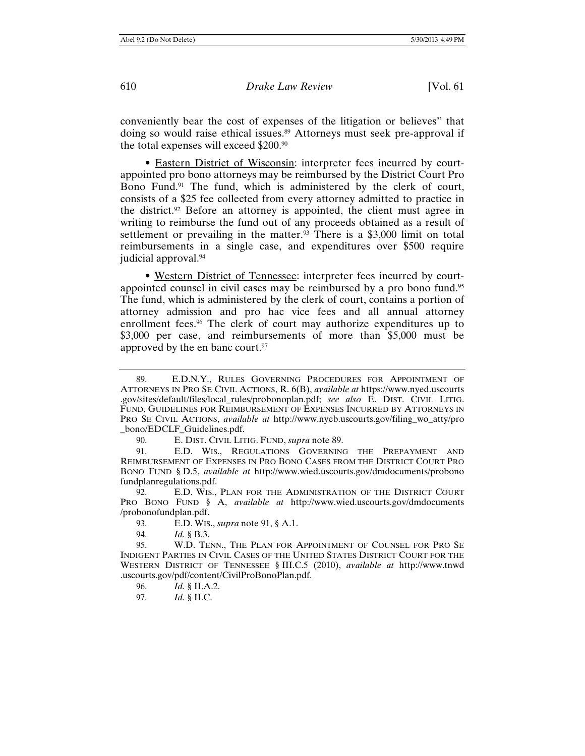conveniently bear the cost of expenses of the litigation or believes" that doing so would raise ethical issues.<sup>89</sup> Attorneys must seek pre-approval if the total expenses will exceed \$200.90

• Eastern District of Wisconsin: interpreter fees incurred by courtappointed pro bono attorneys may be reimbursed by the District Court Pro Bono Fund.<sup>91</sup> The fund, which is administered by the clerk of court, consists of a \$25 fee collected from every attorney admitted to practice in the district.92 Before an attorney is appointed, the client must agree in writing to reimburse the fund out of any proceeds obtained as a result of settlement or prevailing in the matter.<sup>93</sup> There is a \$3,000 limit on total reimbursements in a single case, and expenditures over \$500 require judicial approval.94

• Western District of Tennessee: interpreter fees incurred by courtappointed counsel in civil cases may be reimbursed by a pro bono fund.95 The fund, which is administered by the clerk of court, contains a portion of attorney admission and pro hac vice fees and all annual attorney enrollment fees.<sup>96</sup> The clerk of court may authorize expenditures up to \$3,000 per case, and reimbursements of more than \$5,000 must be approved by the en banc court.<sup>97</sup>

90. E. DIST. CIVIL LITIG. FUND, *supra* note 89.

91. E.D. WIS., REGULATIONS GOVERNING THE PREPAYMENT AND REIMBURSEMENT OF EXPENSES IN PRO BONO CASES FROM THE DISTRICT COURT PRO BONO FUND § D.5, *available at* http://www.wied.uscourts.gov/dmdocuments/probono fundplanregulations.pdf.

92. E.D. WIS., PLAN FOR THE ADMINISTRATION OF THE DISTRICT COURT PRO BONO FUND § A, *available at* http://www.wied.uscourts.gov/dmdocuments /probonofundplan.pdf.

93. E.D. WIS., *supra* note 91, § A.1.

94. *Id.* § B.3.

- 96. *Id.* § II.A.2.
- 97. *Id.* § II.C.

<sup>89.</sup> E.D.N.Y., RULES GOVERNING PROCEDURES FOR APPOINTMENT OF ATTORNEYS IN PRO SE CIVIL ACTIONS, R. 6(B), *available at* https://www.nyed.uscourts .gov/sites/default/files/local\_rules/probonoplan.pdf; *see also* E. DIST. CIVIL LITIG. FUND, GUIDELINES FOR REIMBURSEMENT OF EXPENSES INCURRED BY ATTORNEYS IN PRO SE CIVIL ACTIONS, *available at* http://www.nyeb.uscourts.gov/filing\_wo\_atty/pro \_bono/EDCLF\_Guidelines.pdf.

<sup>95.</sup> W.D. TENN., THE PLAN FOR APPOINTMENT OF COUNSEL FOR PRO SE INDIGENT PARTIES IN CIVIL CASES OF THE UNITED STATES DISTRICT COURT FOR THE WESTERN DISTRICT OF TENNESSEE § III.C.5 (2010), *available at* http://www.tnwd .uscourts.gov/pdf/content/CivilProBonoPlan.pdf.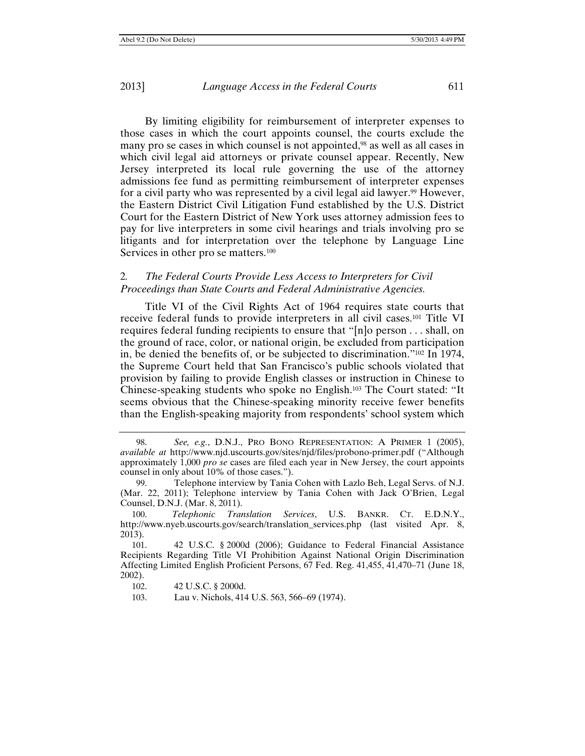By limiting eligibility for reimbursement of interpreter expenses to those cases in which the court appoints counsel, the courts exclude the many pro se cases in which counsel is not appointed,<sup>98</sup> as well as all cases in which civil legal aid attorneys or private counsel appear. Recently, New Jersey interpreted its local rule governing the use of the attorney admissions fee fund as permitting reimbursement of interpreter expenses for a civil party who was represented by a civil legal aid lawyer.<sup>99</sup> However, the Eastern District Civil Litigation Fund established by the U.S. District Court for the Eastern District of New York uses attorney admission fees to pay for live interpreters in some civil hearings and trials involving pro se litigants and for interpretation over the telephone by Language Line Services in other pro se matters.<sup>100</sup>

## 2*. The Federal Courts Provide Less Access to Interpreters for Civil Proceedings than State Courts and Federal Administrative Agencies.*

Title VI of the Civil Rights Act of 1964 requires state courts that receive federal funds to provide interpreters in all civil cases.101 Title VI requires federal funding recipients to ensure that "[n]o person . . . shall, on the ground of race, color, or national origin, be excluded from participation in, be denied the benefits of, or be subjected to discrimination."102 In 1974, the Supreme Court held that San Francisco's public schools violated that provision by failing to provide English classes or instruction in Chinese to Chinese-speaking students who spoke no English.103 The Court stated: "It seems obvious that the Chinese-speaking minority receive fewer benefits than the English-speaking majority from respondents' school system which

<sup>98.</sup> *See, e.g.*, D.N.J., PRO BONO REPRESENTATION: A PRIMER 1 (2005), *available at* http://www.njd.uscourts.gov/sites/njd/files/probono-primer.pdf ("Although approximately 1,000 *pro se* cases are filed each year in New Jersey, the court appoints counsel in only about 10% of those cases.").

<sup>99.</sup> Telephone interview by Tania Cohen with Lazlo Beh, Legal Servs. of N.J. (Mar. 22, 2011); Telephone interview by Tania Cohen with Jack O'Brien, Legal Counsel, D.N.J. (Mar. 8, 2011).

<sup>100.</sup> *Telephonic Translation Services*, U.S. BANKR. CT. E.D.N.Y., http://www.nyeb.uscourts.gov/search/translation\_services.php (last visited Apr. 8, 2013).

<sup>101. 42</sup> U.S.C. § 2000d (2006); Guidance to Federal Financial Assistance Recipients Regarding Title VI Prohibition Against National Origin Discrimination Affecting Limited English Proficient Persons, 67 Fed. Reg. 41,455, 41,470–71 (June 18, 2002).

<sup>102. 42</sup> U.S.C. § 2000d.

<sup>103.</sup> Lau v. Nichols, 414 U.S. 563, 566–69 (1974).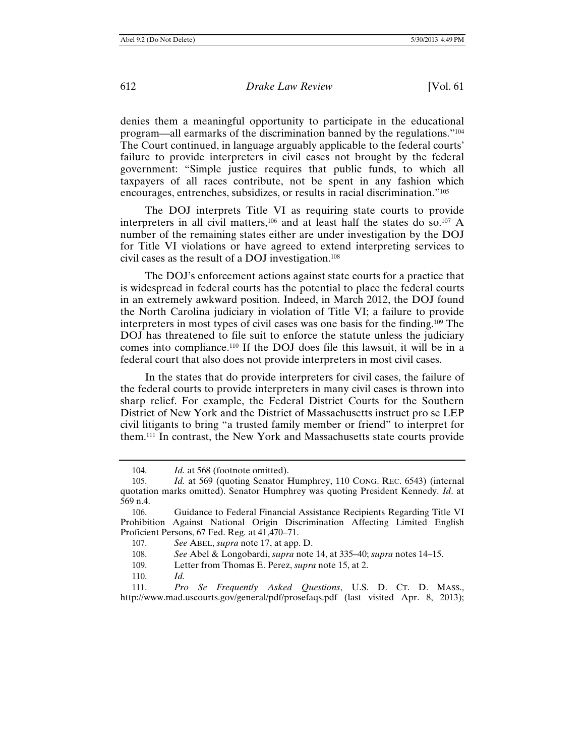denies them a meaningful opportunity to participate in the educational program—all earmarks of the discrimination banned by the regulations."104 The Court continued, in language arguably applicable to the federal courts' failure to provide interpreters in civil cases not brought by the federal government: "Simple justice requires that public funds, to which all taxpayers of all races contribute, not be spent in any fashion which encourages, entrenches, subsidizes, or results in racial discrimination."105

The DOJ interprets Title VI as requiring state courts to provide interpreters in all civil matters, $106$  and at least half the states do so. $107$  A number of the remaining states either are under investigation by the DOJ for Title VI violations or have agreed to extend interpreting services to civil cases as the result of a DOJ investigation.108

The DOJ's enforcement actions against state courts for a practice that is widespread in federal courts has the potential to place the federal courts in an extremely awkward position. Indeed, in March 2012, the DOJ found the North Carolina judiciary in violation of Title VI; a failure to provide interpreters in most types of civil cases was one basis for the finding.109 The DOJ has threatened to file suit to enforce the statute unless the judiciary comes into compliance.110 If the DOJ does file this lawsuit, it will be in a federal court that also does not provide interpreters in most civil cases.

In the states that do provide interpreters for civil cases, the failure of the federal courts to provide interpreters in many civil cases is thrown into sharp relief. For example, the Federal District Courts for the Southern District of New York and the District of Massachusetts instruct pro se LEP civil litigants to bring "a trusted family member or friend" to interpret for them.111 In contrast, the New York and Massachusetts state courts provide

110. *Id.*

111. *Pro Se Frequently Asked Questions*, U.S. D. CT. D. MASS., http://www.mad.uscourts.gov/general/pdf/prosefaqs.pdf (last visited Apr. 8, 2013);

<sup>104.</sup> *Id.* at 568 (footnote omitted).

<sup>105.</sup> *Id.* at 569 (quoting Senator Humphrey, 110 CONG. REC. 6543) (internal quotation marks omitted). Senator Humphrey was quoting President Kennedy. *Id*. at 569 n.4.

<sup>106.</sup> Guidance to Federal Financial Assistance Recipients Regarding Title VI Prohibition Against National Origin Discrimination Affecting Limited English Proficient Persons, 67 Fed. Reg. at 41,470–71.

<sup>107.</sup> *See* ABEL, *supra* note 17, at app. D.

<sup>108.</sup> *See* Abel & Longobardi, *supra* note 14, at 335–40; *supra* notes 14–15.

<sup>109.</sup> Letter from Thomas E. Perez, *supra* note 15, at 2.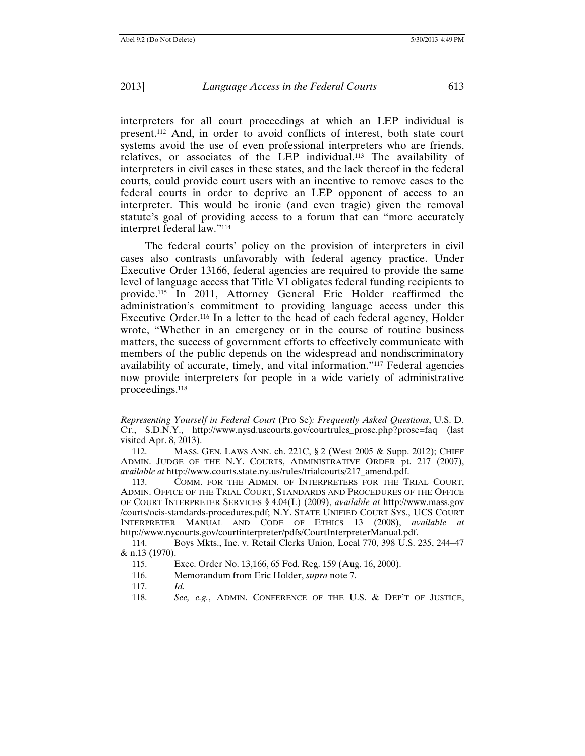interpreters for all court proceedings at which an LEP individual is present.112 And, in order to avoid conflicts of interest, both state court systems avoid the use of even professional interpreters who are friends, relatives, or associates of the LEP individual.113 The availability of interpreters in civil cases in these states, and the lack thereof in the federal courts, could provide court users with an incentive to remove cases to the federal courts in order to deprive an LEP opponent of access to an interpreter. This would be ironic (and even tragic) given the removal statute's goal of providing access to a forum that can "more accurately interpret federal law."114

The federal courts' policy on the provision of interpreters in civil cases also contrasts unfavorably with federal agency practice. Under Executive Order 13166, federal agencies are required to provide the same level of language access that Title VI obligates federal funding recipients to provide.115 In 2011, Attorney General Eric Holder reaffirmed the administration's commitment to providing language access under this Executive Order.116 In a letter to the head of each federal agency, Holder wrote, "Whether in an emergency or in the course of routine business matters, the success of government efforts to effectively communicate with members of the public depends on the widespread and nondiscriminatory availability of accurate, timely, and vital information."117 Federal agencies now provide interpreters for people in a wide variety of administrative proceedings.118

113. COMM. FOR THE ADMIN. OF INTERPRETERS FOR THE TRIAL COURT, ADMIN. OFFICE OF THE TRIAL COURT, STANDARDS AND PROCEDURES OF THE OFFICE OF COURT INTERPRETER SERVICES § 4.04(L) (2009), *available at* http://www.mass.gov /courts/ocis-standards-procedures.pdf; N.Y. STATE UNIFIED COURT SYS., UCS COURT INTERPRETER MANUAL AND CODE OF ETHICS 13 (2008), *available at*  http://www.nycourts.gov/courtinterpreter/pdfs/CourtInterpreterManual.pdf.

114. Boys Mkts., Inc. v. Retail Clerks Union, Local 770, 398 U.S. 235, 244–47 & n.13 (1970).

*Representing Yourself in Federal Court* (Pro Se)*: Frequently Asked Questions*, U.S. D. CT., S.D.N.Y., http://www.nysd.uscourts.gov/courtrules\_prose.php?prose=faq (last visited Apr. 8, 2013).

<sup>112.</sup> MASS. GEN. LAWS ANN. ch. 221C, § 2 (West 2005 & Supp. 2012); CHIEF ADMIN. JUDGE OF THE N.Y. COURTS, ADMINISTRATIVE ORDER pt. 217 (2007), *available at* http://www.courts.state.ny.us/rules/trialcourts/217\_amend.pdf.

<sup>115.</sup> Exec. Order No. 13,166, 65 Fed. Reg. 159 (Aug. 16, 2000).

<sup>116.</sup> Memorandum from Eric Holder, *supra* note 7.

<sup>117.</sup> *Id.* 

<sup>118.</sup> *See, e.g.*, ADMIN. CONFERENCE OF THE U.S. & DEP'T OF JUSTICE,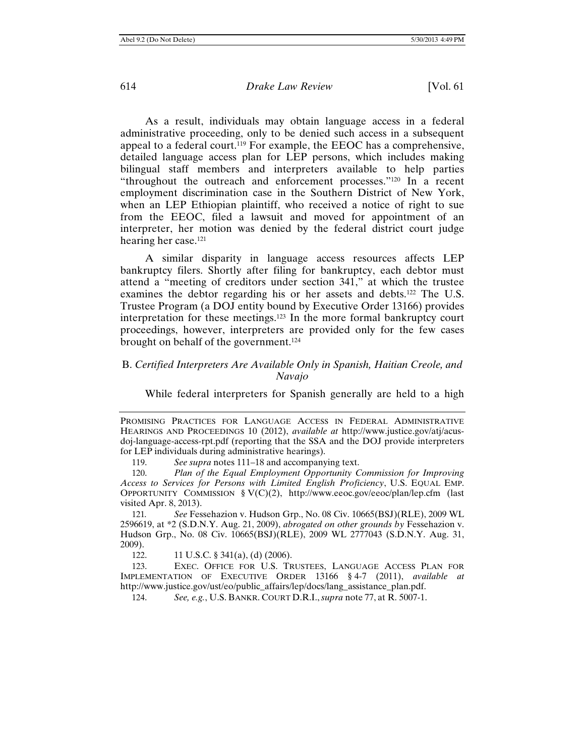As a result, individuals may obtain language access in a federal administrative proceeding, only to be denied such access in a subsequent appeal to a federal court.119 For example, the EEOC has a comprehensive, detailed language access plan for LEP persons, which includes making bilingual staff members and interpreters available to help parties "throughout the outreach and enforcement processes."120 In a recent employment discrimination case in the Southern District of New York, when an LEP Ethiopian plaintiff, who received a notice of right to sue from the EEOC, filed a lawsuit and moved for appointment of an interpreter, her motion was denied by the federal district court judge hearing her case.121

A similar disparity in language access resources affects LEP bankruptcy filers. Shortly after filing for bankruptcy, each debtor must attend a "meeting of creditors under section 341," at which the trustee examines the debtor regarding his or her assets and debts.122 The U.S. Trustee Program (a DOJ entity bound by Executive Order 13166) provides interpretation for these meetings.123 In the more formal bankruptcy court proceedings, however, interpreters are provided only for the few cases brought on behalf of the government.124

## B. *Certified Interpreters Are Available Only in Spanish, Haitian Creole, and Navajo*

While federal interpreters for Spanish generally are held to a high

121*. See* Fessehazion v. Hudson Grp., No. 08 Civ. 10665(BSJ)(RLE), 2009 WL 2596619, at \*2 (S.D.N.Y. Aug. 21, 2009), *abrogated on other grounds by* Fessehazion v. Hudson Grp., No. 08 Civ. 10665(BSJ)(RLE), 2009 WL 2777043 (S.D.N.Y. Aug. 31, 2009).

122. 11 U.S.C. § 341(a), (d) (2006).

123. EXEC. OFFICE FOR U.S. TRUSTEES, LANGUAGE ACCESS PLAN FOR IMPLEMENTATION OF EXECUTIVE ORDER 13166 § 4-7 (2011), *available at* http://www.justice.gov/ust/eo/public\_affairs/lep/docs/lang\_assistance\_plan.pdf.

124. *See, e.g.*, U.S. BANKR. COURT D.R.I.,*supra* note 77, at R. 5007-1.

PROMISING PRACTICES FOR LANGUAGE ACCESS IN FEDERAL ADMINISTRATIVE HEARINGS AND PROCEEDINGS 10 (2012), *available at* http://www.justice.gov/atj/acusdoj-language-access-rpt.pdf (reporting that the SSA and the DOJ provide interpreters for LEP individuals during administrative hearings).

<sup>119.</sup> *See supra* notes 111–18 and accompanying text.

<sup>120.</sup> *Plan of the Equal Employment Opportunity Commission for Improving Access to Services for Persons with Limited English Proficiency*, U.S. EQUAL EMP. OPPORTUNITY COMMISSION § V(C)(2), http://www.eeoc.gov/eeoc/plan/lep.cfm (last visited Apr. 8, 2013).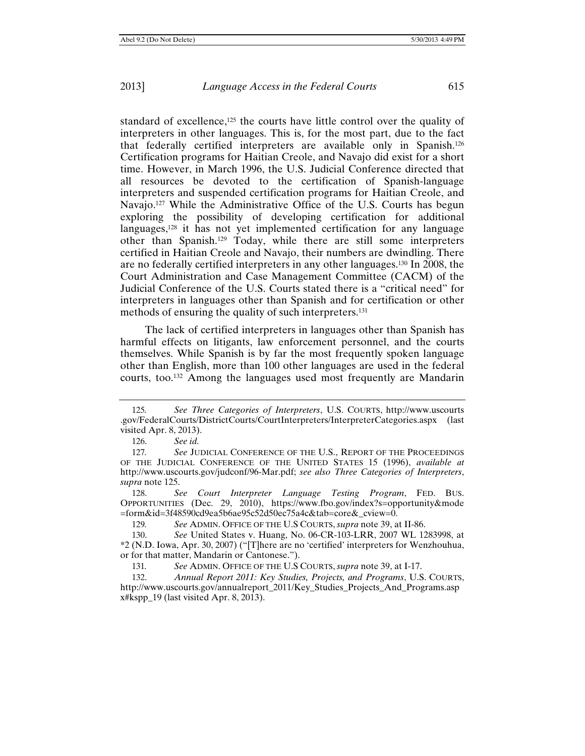standard of excellence,<sup>125</sup> the courts have little control over the quality of interpreters in other languages. This is, for the most part, due to the fact that federally certified interpreters are available only in Spanish.126 Certification programs for Haitian Creole, and Navajo did exist for a short time. However, in March 1996, the U.S. Judicial Conference directed that all resources be devoted to the certification of Spanish-language interpreters and suspended certification programs for Haitian Creole, and Navajo.<sup>127</sup> While the Administrative Office of the U.S. Courts has begun exploring the possibility of developing certification for additional languages,128 it has not yet implemented certification for any language other than Spanish.129 Today, while there are still some interpreters certified in Haitian Creole and Navajo, their numbers are dwindling. There are no federally certified interpreters in any other languages.130 In 2008, the Court Administration and Case Management Committee (CACM) of the Judicial Conference of the U.S. Courts stated there is a "critical need" for interpreters in languages other than Spanish and for certification or other methods of ensuring the quality of such interpreters.<sup>131</sup>

The lack of certified interpreters in languages other than Spanish has harmful effects on litigants, law enforcement personnel, and the courts themselves. While Spanish is by far the most frequently spoken language other than English, more than 100 other languages are used in the federal courts, too.132 Among the languages used most frequently are Mandarin

<sup>125</sup>*. See Three Categories of Interpreters*, U.S. COURTS, http://www.uscourts .gov/FederalCourts/DistrictCourts/CourtInterpreters/InterpreterCategories.aspx (last visited Apr. 8, 2013).

<sup>126.</sup> *See id.* 

<sup>127.</sup> See JUDICIAL CONFERENCE OF THE U.S., REPORT OF THE PROCEEDINGS OF THE JUDICIAL CONFERENCE OF THE UNITED STATES 15 (1996), *available at* http://www.uscourts.gov/judconf/96-Mar.pdf; *see also Three Categories of Interpreters*, *supra* note 125.

<sup>128.</sup> *See Court Interpreter Language Testing Program*, FED. BUS. OPPORTUNITIES (Dec. 29, 2010), https://www.fbo.gov/index?s=opportunity&mode =form&id=3f48590cd9ea5b6ae95c52d50ec75a4c&tab=core&\_cview=0.

<sup>129</sup>*. See* ADMIN. OFFICE OF THE U.S COURTS, *supra* note 39, at II-86.

<sup>130.</sup> *See* United States v. Huang, No. 06-CR-103-LRR, 2007 WL 1283998, at \*2 (N.D. Iowa, Apr. 30, 2007) ("[T]here are no 'certified' interpreters for Wenzhouhua, or for that matter, Mandarin or Cantonese.").

<sup>131</sup>*. See* ADMIN. OFFICE OF THE U.S COURTS, *supra* note 39, at I-17.

<sup>132.</sup> *Annual Report 2011: Key Studies, Projects, and Programs*, U.S. COURTS, http://www.uscourts.gov/annualreport\_2011/Key\_Studies\_Projects\_And\_Programs.asp x#kspp\_19 (last visited Apr. 8, 2013).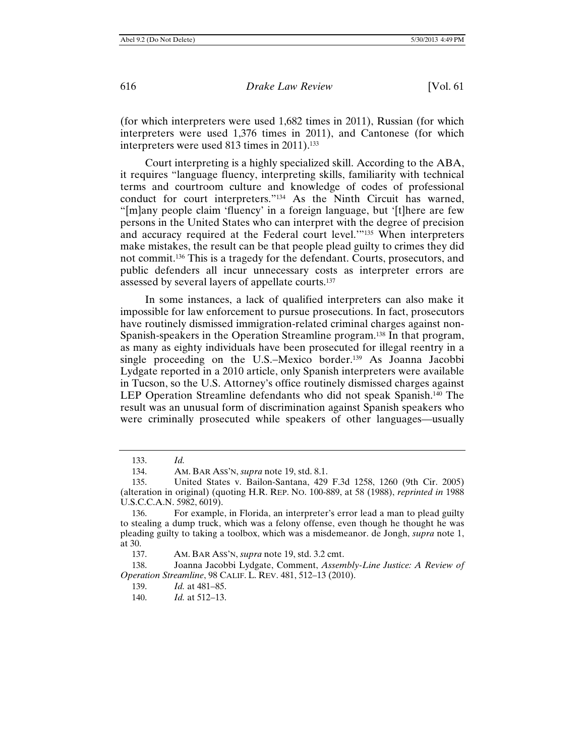(for which interpreters were used 1,682 times in 2011), Russian (for which interpreters were used 1,376 times in 2011), and Cantonese (for which interpreters were used 813 times in 2011).<sup>133</sup>

Court interpreting is a highly specialized skill. According to the ABA, it requires "language fluency, interpreting skills, familiarity with technical terms and courtroom culture and knowledge of codes of professional conduct for court interpreters."134 As the Ninth Circuit has warned, "[m]any people claim 'fluency' in a foreign language, but '[t]here are few persons in the United States who can interpret with the degree of precision and accuracy required at the Federal court level.'"135 When interpreters make mistakes, the result can be that people plead guilty to crimes they did not commit.136 This is a tragedy for the defendant. Courts, prosecutors, and public defenders all incur unnecessary costs as interpreter errors are assessed by several layers of appellate courts.137

In some instances, a lack of qualified interpreters can also make it impossible for law enforcement to pursue prosecutions. In fact, prosecutors have routinely dismissed immigration-related criminal charges against non-Spanish-speakers in the Operation Streamline program.138 In that program, as many as eighty individuals have been prosecuted for illegal reentry in a single proceeding on the U.S.–Mexico border.<sup>139</sup> As Joanna Jacobbi Lydgate reported in a 2010 article, only Spanish interpreters were available in Tucson, so the U.S. Attorney's office routinely dismissed charges against LEP Operation Streamline defendants who did not speak Spanish.<sup>140</sup> The result was an unusual form of discrimination against Spanish speakers who were criminally prosecuted while speakers of other languages—usually

<sup>133.</sup> *Id.* 

<sup>134.</sup> AM. BAR ASS'N, *supra* note 19, std. 8.1.

<sup>135.</sup> United States v. Bailon-Santana, 429 F.3d 1258, 1260 (9th Cir. 2005) (alteration in original) (quoting H.R. REP. NO. 100-889, at 58 (1988), *reprinted in* 1988 U.S.C.C.A.N. 5982, 6019).

<sup>136.</sup> For example, in Florida, an interpreter's error lead a man to plead guilty to stealing a dump truck, which was a felony offense, even though he thought he was pleading guilty to taking a toolbox, which was a misdemeanor. de Jongh, *supra* note 1, at 30.

<sup>137.</sup> AM. BAR ASS'N, *supra* note 19, std. 3.2 cmt.

<sup>138.</sup> Joanna Jacobbi Lydgate, Comment, *Assembly-Line Justice: A Review of Operation Streamline*, 98 CALIF. L. REV. 481, 512–13 (2010).

<sup>139.</sup> *Id.* at 481–85.

<sup>140.</sup> *Id.* at 512–13.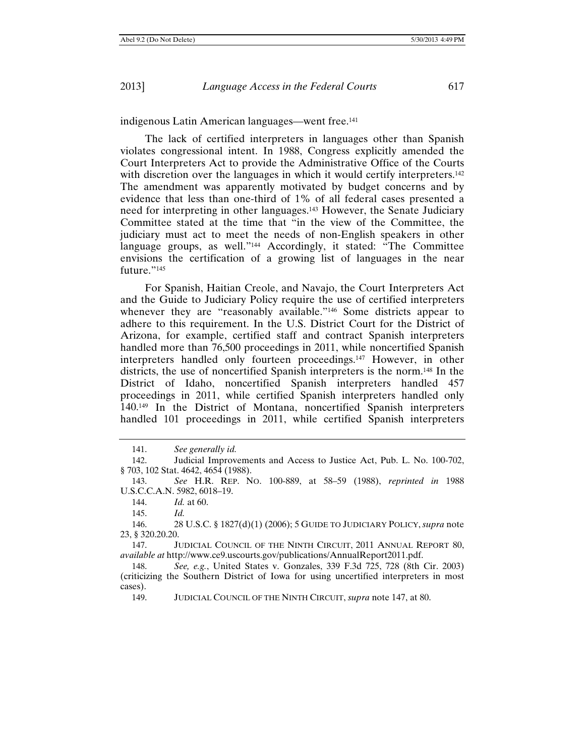indigenous Latin American languages—went free.141

The lack of certified interpreters in languages other than Spanish violates congressional intent. In 1988, Congress explicitly amended the Court Interpreters Act to provide the Administrative Office of the Courts with discretion over the languages in which it would certify interpreters.<sup>142</sup> The amendment was apparently motivated by budget concerns and by evidence that less than one-third of 1% of all federal cases presented a need for interpreting in other languages.143 However, the Senate Judiciary Committee stated at the time that "in the view of the Committee, the judiciary must act to meet the needs of non-English speakers in other language groups, as well."144 Accordingly, it stated: "The Committee envisions the certification of a growing list of languages in the near future."145

For Spanish, Haitian Creole, and Navajo, the Court Interpreters Act and the Guide to Judiciary Policy require the use of certified interpreters whenever they are "reasonably available."<sup>146</sup> Some districts appear to adhere to this requirement. In the U.S. District Court for the District of Arizona, for example, certified staff and contract Spanish interpreters handled more than 76,500 proceedings in 2011, while noncertified Spanish interpreters handled only fourteen proceedings.147 However, in other districts, the use of noncertified Spanish interpreters is the norm.148 In the District of Idaho, noncertified Spanish interpreters handled 457 proceedings in 2011, while certified Spanish interpreters handled only 140.149 In the District of Montana, noncertified Spanish interpreters handled 101 proceedings in 2011, while certified Spanish interpreters

<sup>141.</sup> *See generally id.* 

<sup>142.</sup> Judicial Improvements and Access to Justice Act, Pub. L. No. 100-702, § 703, 102 Stat. 4642, 4654 (1988).

<sup>143.</sup> *See* H.R. REP. NO. 100-889, at 58–59 (1988), *reprinted in* 1988 U.S.C.C.A.N. 5982, 6018–19.

<sup>144.</sup> *Id.* at 60.

<sup>145.</sup> *Id.* 

<sup>146. 28</sup> U.S.C. § 1827(d)(1) (2006); 5 GUIDE TO JUDICIARY POLICY, *supra* note 23, § 320.20.20.

<sup>147.</sup> JUDICIAL COUNCIL OF THE NINTH CIRCUIT, 2011 ANNUAL REPORT 80, *available at* http://www.ce9.uscourts.gov/publications/AnnualReport2011.pdf.

<sup>148.</sup> *See, e.g.*, United States v. Gonzales, 339 F.3d 725, 728 (8th Cir. 2003) (criticizing the Southern District of Iowa for using uncertified interpreters in most cases).

<sup>149.</sup> JUDICIAL COUNCIL OF THE NINTH CIRCUIT, *supra* note 147, at 80.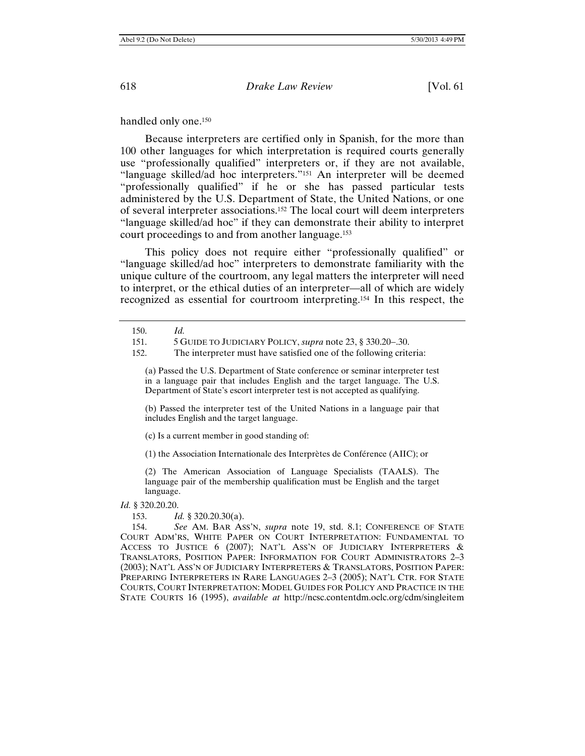handled only one.<sup>150</sup>

Because interpreters are certified only in Spanish, for the more than 100 other languages for which interpretation is required courts generally use "professionally qualified" interpreters or, if they are not available, "language skilled/ad hoc interpreters."151 An interpreter will be deemed "professionally qualified" if he or she has passed particular tests administered by the U.S. Department of State, the United Nations, or one of several interpreter associations.152 The local court will deem interpreters "language skilled/ad hoc" if they can demonstrate their ability to interpret court proceedings to and from another language.153

This policy does not require either "professionally qualified" or "language skilled/ad hoc" interpreters to demonstrate familiarity with the unique culture of the courtroom, any legal matters the interpreter will need to interpret, or the ethical duties of an interpreter—all of which are widely recognized as essential for courtroom interpreting.154 In this respect, the

(a) Passed the U.S. Department of State conference or seminar interpreter test in a language pair that includes English and the target language. The U.S. Department of State's escort interpreter test is not accepted as qualifying.

(b) Passed the interpreter test of the United Nations in a language pair that includes English and the target language.

(c) Is a current member in good standing of:

(1) the Association Internationale des Interprètes de Conférence (AIIC); or

(2) The American Association of Language Specialists (TAALS). The language pair of the membership qualification must be English and the target language.

*Id.* § 320.20.20.

153. *Id.* § 320.20.30(a).

154. *See* AM. BAR ASS'N, *supra* note 19, std. 8.1; CONFERENCE OF STATE COURT ADM'RS, WHITE PAPER ON COURT INTERPRETATION: FUNDAMENTAL TO ACCESS TO JUSTICE 6 (2007); NAT'L ASS'N OF JUDICIARY INTERPRETERS & TRANSLATORS, POSITION PAPER: INFORMATION FOR COURT ADMINISTRATORS 2–3 (2003); NAT'L ASS'N OF JUDICIARY INTERPRETERS & TRANSLATORS, POSITION PAPER: PREPARING INTERPRETERS IN RARE LANGUAGES 2–3 (2005); NAT'L CTR. FOR STATE COURTS, COURT INTERPRETATION: MODEL GUIDES FOR POLICY AND PRACTICE IN THE STATE COURTS 16 (1995), *available at* http://ncsc.contentdm.oclc.org/cdm/singleitem

<sup>150.</sup> *Id.*

<sup>151. 5</sup> GUIDE TO JUDICIARY POLICY, *supra* note 23, § 330.20–.30.

<sup>152.</sup> The interpreter must have satisfied one of the following criteria: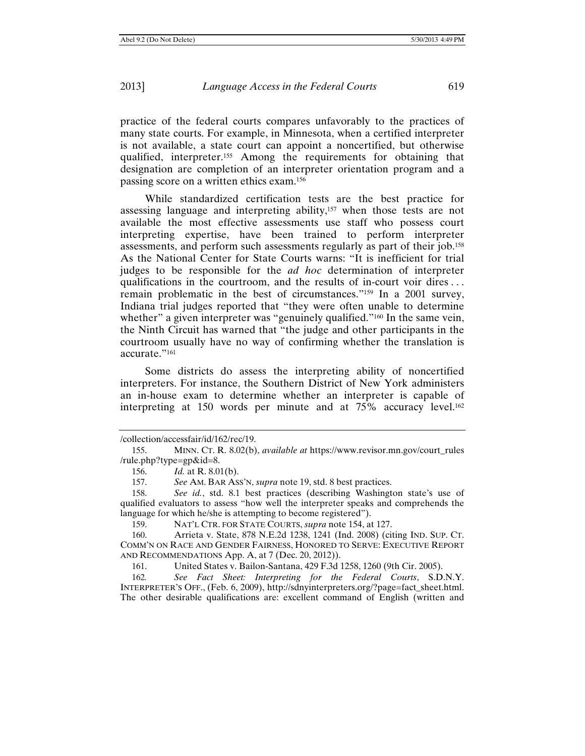practice of the federal courts compares unfavorably to the practices of many state courts. For example, in Minnesota, when a certified interpreter is not available, a state court can appoint a noncertified, but otherwise qualified, interpreter.155 Among the requirements for obtaining that designation are completion of an interpreter orientation program and a passing score on a written ethics exam.156

While standardized certification tests are the best practice for assessing language and interpreting ability,157 when those tests are not available the most effective assessments use staff who possess court interpreting expertise, have been trained to perform interpreter assessments, and perform such assessments regularly as part of their job.158 As the National Center for State Courts warns: "It is inefficient for trial judges to be responsible for the *ad hoc* determination of interpreter qualifications in the courtroom, and the results of in-court voir dires . . . remain problematic in the best of circumstances."159 In a 2001 survey, Indiana trial judges reported that "they were often unable to determine whether" a given interpreter was "genuinely qualified."<sup>160</sup> In the same vein, the Ninth Circuit has warned that "the judge and other participants in the courtroom usually have no way of confirming whether the translation is accurate."161

Some districts do assess the interpreting ability of noncertified interpreters. For instance, the Southern District of New York administers an in-house exam to determine whether an interpreter is capable of interpreting at 150 words per minute and at 75% accuracy level.162

<sup>/</sup>collection/accessfair/id/162/rec/19.

<sup>155.</sup> MINN. CT. R. 8.02(b), *available at* https://www.revisor.mn.gov/court\_rules /rule.php?type=gp&id=8.

<sup>156.</sup> *Id.* at R. 8.01(b).

<sup>157.</sup> *See* AM. BAR ASS'N, *supra* note 19, std. 8 best practices.

<sup>158.</sup> *See id.*, std. 8.1 best practices (describing Washington state's use of qualified evaluators to assess "how well the interpreter speaks and comprehends the language for which he/she is attempting to become registered").

<sup>159.</sup> NAT'L CTR. FOR STATE COURTS, *supra* note 154, at 127.

<sup>160.</sup> Arrieta v. State, 878 N.E.2d 1238, 1241 (Ind. 2008) (citing IND. SUP. CT. COMM'N ON RACE AND GENDER FAIRNESS, HONORED TO SERVE: EXECUTIVE REPORT AND RECOMMENDATIONS App. A, at 7 (Dec. 20, 2012)).

<sup>161.</sup> United States v. Bailon-Santana, 429 F.3d 1258, 1260 (9th Cir. 2005).

<sup>162</sup>*. See Fact Sheet: Interpreting for the Federal Courts*, S.D.N.Y. INTERPRETER'S OFF., (Feb. 6, 2009), http://sdnyinterpreters.org/?page=fact\_sheet.html. The other desirable qualifications are: excellent command of English (written and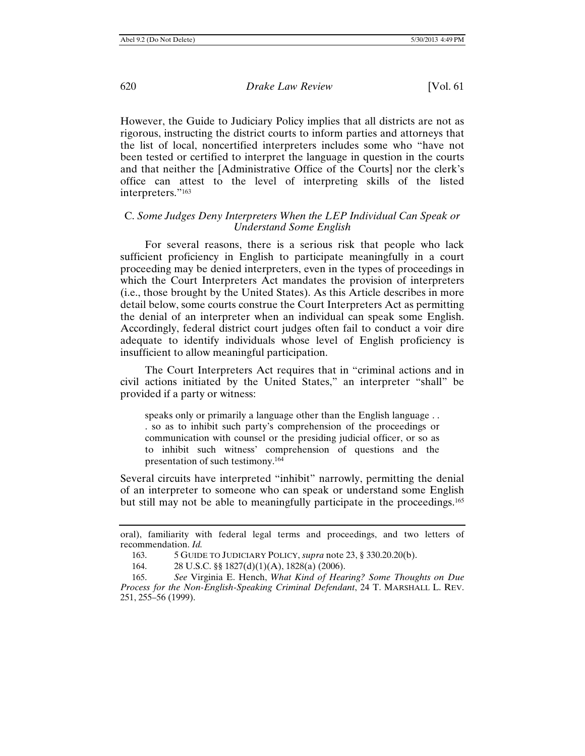However, the Guide to Judiciary Policy implies that all districts are not as rigorous, instructing the district courts to inform parties and attorneys that the list of local, noncertified interpreters includes some who "have not been tested or certified to interpret the language in question in the courts and that neither the [Administrative Office of the Courts] nor the clerk's office can attest to the level of interpreting skills of the listed interpreters."163

## C. *Some Judges Deny Interpreters When the LEP Individual Can Speak or Understand Some English*

For several reasons, there is a serious risk that people who lack sufficient proficiency in English to participate meaningfully in a court proceeding may be denied interpreters, even in the types of proceedings in which the Court Interpreters Act mandates the provision of interpreters (i.e., those brought by the United States). As this Article describes in more detail below, some courts construe the Court Interpreters Act as permitting the denial of an interpreter when an individual can speak some English. Accordingly, federal district court judges often fail to conduct a voir dire adequate to identify individuals whose level of English proficiency is insufficient to allow meaningful participation.

The Court Interpreters Act requires that in "criminal actions and in civil actions initiated by the United States," an interpreter "shall" be provided if a party or witness:

speaks only or primarily a language other than the English language . . . so as to inhibit such party's comprehension of the proceedings or communication with counsel or the presiding judicial officer, or so as to inhibit such witness' comprehension of questions and the presentation of such testimony.164

Several circuits have interpreted "inhibit" narrowly, permitting the denial of an interpreter to someone who can speak or understand some English but still may not be able to meaningfully participate in the proceedings.165

oral), familiarity with federal legal terms and proceedings, and two letters of recommendation. *Id.*

<sup>163. 5</sup> GUIDE TO JUDICIARY POLICY, *supra* note 23, § 330.20.20(b).

<sup>164. 28</sup> U.S.C. §§ 1827(d)(1)(A), 1828(a) (2006).

<sup>165.</sup> *See* Virginia E. Hench, *What Kind of Hearing? Some Thoughts on Due Process for the Non-English-Speaking Criminal Defendant*, 24 T. MARSHALL L. REV. 251, 255–56 (1999).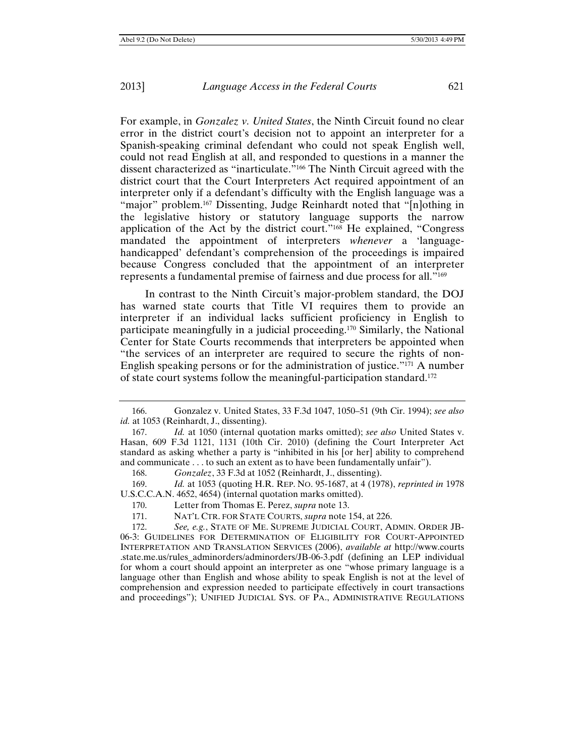For example, in *Gonzalez v. United States*, the Ninth Circuit found no clear error in the district court's decision not to appoint an interpreter for a Spanish-speaking criminal defendant who could not speak English well, could not read English at all, and responded to questions in a manner the dissent characterized as "inarticulate."166 The Ninth Circuit agreed with the district court that the Court Interpreters Act required appointment of an interpreter only if a defendant's difficulty with the English language was a "major" problem.<sup>167</sup> Dissenting, Judge Reinhardt noted that "[n]othing in the legislative history or statutory language supports the narrow application of the Act by the district court."168 He explained, "Congress mandated the appointment of interpreters *whenever* a 'languagehandicapped' defendant's comprehension of the proceedings is impaired because Congress concluded that the appointment of an interpreter represents a fundamental premise of fairness and due process for all."169

In contrast to the Ninth Circuit's major-problem standard, the DOJ has warned state courts that Title VI requires them to provide an interpreter if an individual lacks sufficient proficiency in English to participate meaningfully in a judicial proceeding.170 Similarly, the National Center for State Courts recommends that interpreters be appointed when "the services of an interpreter are required to secure the rights of non-English speaking persons or for the administration of justice."171 A number of state court systems follow the meaningful-participation standard.172

172. *See, e.g.*, STATE OF ME. SUPREME JUDICIAL COURT, ADMIN. ORDER JB-06-3: GUIDELINES FOR DETERMINATION OF ELIGIBILITY FOR COURT-APPOINTED INTERPRETATION AND TRANSLATION SERVICES (2006), *available at* http://www.courts .state.me.us/rules\_adminorders/adminorders/JB-06-3.pdf (defining an LEP individual for whom a court should appoint an interpreter as one "whose primary language is a language other than English and whose ability to speak English is not at the level of comprehension and expression needed to participate effectively in court transactions and proceedings"); UNIFIED JUDICIAL SYS. OF PA., ADMINISTRATIVE REGULATIONS

<sup>166.</sup> Gonzalez v. United States, 33 F.3d 1047, 1050–51 (9th Cir. 1994); *see also id.* at 1053 (Reinhardt, J., dissenting).

<sup>167.</sup> *Id.* at 1050 (internal quotation marks omitted); *see also* United States v. Hasan, 609 F.3d 1121, 1131 (10th Cir. 2010) (defining the Court Interpreter Act standard as asking whether a party is "inhibited in his [or her] ability to comprehend and communicate . . . to such an extent as to have been fundamentally unfair").

<sup>168.</sup> *Gonzalez*, 33 F.3d at 1052 (Reinhardt, J., dissenting).

<sup>169.</sup> *Id.* at 1053 (quoting H.R. REP. NO. 95-1687, at 4 (1978), *reprinted in* 1978 U.S.C.C.A.N. 4652, 4654) (internal quotation marks omitted).

<sup>170.</sup> Letter from Thomas E. Perez, *supra* note 13.

<sup>171.</sup> NAT'L CTR. FOR STATE COURTS, *supra* note 154, at 226.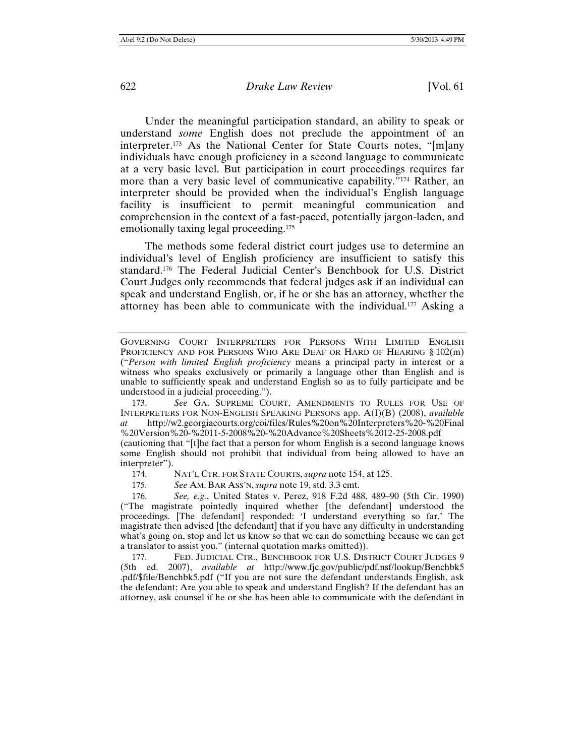Under the meaningful participation standard, an ability to speak or understand *some* English does not preclude the appointment of an interpreter.173 As the National Center for State Courts notes, "[m]any individuals have enough proficiency in a second language to communicate at a very basic level. But participation in court proceedings requires far more than a very basic level of communicative capability."174 Rather, an interpreter should be provided when the individual's English language facility is insufficient to permit meaningful communication and comprehension in the context of a fast-paced, potentially jargon-laden, and emotionally taxing legal proceeding.175

The methods some federal district court judges use to determine an individual's level of English proficiency are insufficient to satisfy this standard.176 The Federal Judicial Center's Benchbook for U.S. District Court Judges only recommends that federal judges ask if an individual can speak and understand English, or, if he or she has an attorney, whether the attorney has been able to communicate with the individual.177 Asking a

173. *See* GA. SUPREME COURT, AMENDMENTS TO RULES FOR USE OF INTERPRETERS FOR NON-ENGLISH SPEAKING PERSONS app. A(I)(B) (2008), *available at* http://w2.georgiacourts.org/coi/files/Rules%20on%20Interpreters%20-%20Final %20Version%20-%2011-5-2008%20-%20Advance%20Sheets%2012-25-2008.pdf

(cautioning that "[t]he fact that a person for whom English is a second language knows some English should not prohibit that individual from being allowed to have an interpreter").

174. NAT'L CTR. FOR STATE COURTS, *supra* note 154, at 125.

175. *See* AM. BAR ASS'N,*supra* note 19, std. 3.3 cmt.

176. *See, e.g.*, United States v. Perez, 918 F.2d 488, 489–90 (5th Cir. 1990) ("The magistrate pointedly inquired whether [the defendant] understood the proceedings. [The defendant] responded: 'I understand everything so far.' The magistrate then advised [the defendant] that if you have any difficulty in understanding what's going on, stop and let us know so that we can do something because we can get a translator to assist you." (internal quotation marks omitted)).

177. FED. JUDICIAL CTR., BENCHBOOK FOR U.S. DISTRICT COURT JUDGES 9 (5th ed. 2007), *available at* http://www.fjc.gov/public/pdf.nsf/lookup/Benchbk5 .pdf/\$file/Benchbk5.pdf ("If you are not sure the defendant understands English, ask the defendant: Are you able to speak and understand English? If the defendant has an attorney, ask counsel if he or she has been able to communicate with the defendant in

GOVERNING COURT INTERPRETERS FOR PERSONS WITH LIMITED ENGLISH PROFICIENCY AND FOR PERSONS WHO ARE DEAF OR HARD OF HEARING § 102(m) ("*Person with limited English proficiency* means a principal party in interest or a witness who speaks exclusively or primarily a language other than English and is unable to sufficiently speak and understand English so as to fully participate and be understood in a judicial proceeding.").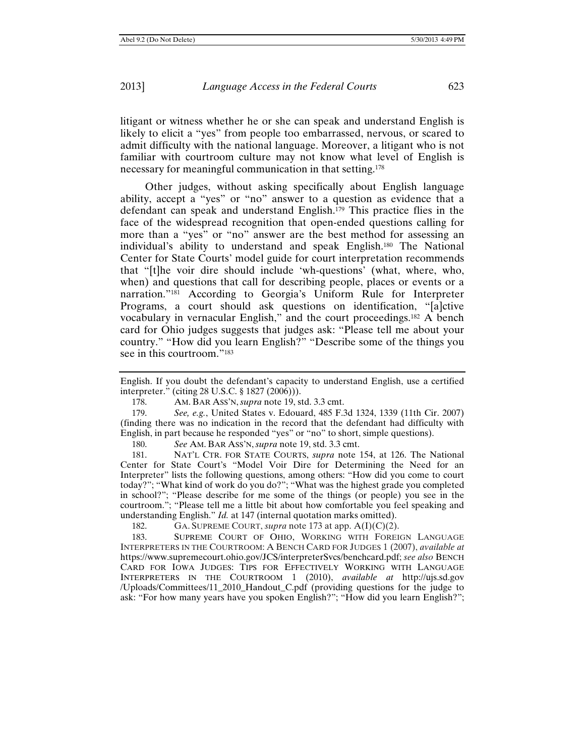litigant or witness whether he or she can speak and understand English is likely to elicit a "yes" from people too embarrassed, nervous, or scared to admit difficulty with the national language. Moreover, a litigant who is not familiar with courtroom culture may not know what level of English is necessary for meaningful communication in that setting.178

Other judges, without asking specifically about English language ability, accept a "yes" or "no" answer to a question as evidence that a defendant can speak and understand English.179 This practice flies in the face of the widespread recognition that open-ended questions calling for more than a "yes" or "no" answer are the best method for assessing an individual's ability to understand and speak English.180 The National Center for State Courts' model guide for court interpretation recommends that "[t]he voir dire should include 'wh-questions' (what, where, who, when) and questions that call for describing people, places or events or a narration."181 According to Georgia's Uniform Rule for Interpreter Programs, a court should ask questions on identification, "[a]ctive vocabulary in vernacular English," and the court proceedings.182 A bench card for Ohio judges suggests that judges ask: "Please tell me about your country." "How did you learn English?" "Describe some of the things you see in this courtroom."183

English. If you doubt the defendant's capacity to understand English, use a certified interpreter." (citing 28 U.S.C. § 1827 (2006))).

178. AM. BAR ASS'N, *supra* note 19, std. 3.3 cmt.

179. *See, e.g.*, United States v. Edouard, 485 F.3d 1324, 1339 (11th Cir. 2007) (finding there was no indication in the record that the defendant had difficulty with English, in part because he responded "yes" or "no" to short, simple questions).

180. *See* AM. BAR ASS'N,*supra* note 19, std. 3.3 cmt.

181. NAT'L CTR. FOR STATE COURTS, *supra* note 154, at 126. The National Center for State Court's "Model Voir Dire for Determining the Need for an Interpreter" lists the following questions, among others: "How did you come to court today?"; "What kind of work do you do?"; "What was the highest grade you completed in school?"; "Please describe for me some of the things (or people) you see in the courtroom."; "Please tell me a little bit about how comfortable you feel speaking and understanding English." *Id.* at 147 (internal quotation marks omitted).

182. GA. SUPREME COURT, *supra* note 173 at app. A(I)(C)(2).

183. SUPREME COURT OF OHIO, WORKING WITH FOREIGN LANGUAGE INTERPRETERS IN THE COURTROOM: A BENCH CARD FOR JUDGES 1 (2007), *available at* https://www.supremecourt.ohio.gov/JCS/interpreterSvcs/benchcard.pdf; *see also* BENCH CARD FOR IOWA JUDGES: TIPS FOR EFFECTIVELY WORKING WITH LANGUAGE INTERPRETERS IN THE COURTROOM 1 (2010), *available at* http://ujs.sd.gov /Uploads/Committees/11\_2010\_Handout\_C.pdf (providing questions for the judge to ask: "For how many years have you spoken English?"; "How did you learn English?";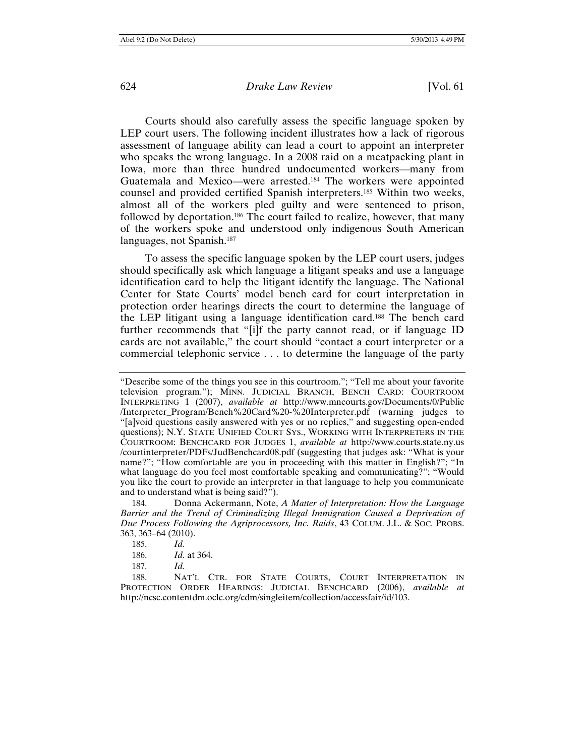Courts should also carefully assess the specific language spoken by LEP court users. The following incident illustrates how a lack of rigorous assessment of language ability can lead a court to appoint an interpreter who speaks the wrong language. In a 2008 raid on a meatpacking plant in Iowa, more than three hundred undocumented workers—many from Guatemala and Mexico—were arrested.184 The workers were appointed counsel and provided certified Spanish interpreters.185 Within two weeks, almost all of the workers pled guilty and were sentenced to prison, followed by deportation.186 The court failed to realize, however, that many of the workers spoke and understood only indigenous South American languages, not Spanish.187

To assess the specific language spoken by the LEP court users, judges should specifically ask which language a litigant speaks and use a language identification card to help the litigant identify the language. The National Center for State Courts' model bench card for court interpretation in protection order hearings directs the court to determine the language of the LEP litigant using a language identification card.188 The bench card further recommends that "[i]f the party cannot read, or if language ID cards are not available," the court should "contact a court interpreter or a commercial telephonic service . . . to determine the language of the party

<sup>&</sup>quot;Describe some of the things you see in this courtroom."; "Tell me about your favorite television program."); MINN. JUDICIAL BRANCH, BENCH CARD: COURTROOM INTERPRETING 1 (2007), *available at* http://www.mncourts.gov/Documents/0/Public /Interpreter\_Program/Bench%20Card%20-%20Interpreter.pdf (warning judges to "[a]void questions easily answered with yes or no replies," and suggesting open-ended questions); N.Y. STATE UNIFIED COURT SYS., WORKING WITH INTERPRETERS IN THE COURTROOM: BENCHCARD FOR JUDGES 1, *available at* http://www.courts.state.ny.us /courtinterpreter/PDFs/JudBenchcard08.pdf (suggesting that judges ask: "What is your name?"; "How comfortable are you in proceeding with this matter in English?"; "In what language do you feel most comfortable speaking and communicating?"; "Would you like the court to provide an interpreter in that language to help you communicate and to understand what is being said?").

<sup>184.</sup> Donna Ackermann, Note, *A Matter of Interpretation: How the Language*  Barrier and the Trend of Criminalizing Illegal Immigration Caused a Deprivation of *Due Process Following the Agriprocessors, Inc. Raids*, 43 COLUM. J.L. & SOC. PROBS. 363, 363–64 (2010).

<sup>185.</sup> *Id.*

<sup>186.</sup> *Id.* at 364.

<sup>187.</sup> *Id.*

<sup>188.</sup> NAT'L CTR. FOR STATE COURTS, COURT INTERPRETATION IN PROTECTION ORDER HEARINGS: JUDICIAL BENCHCARD (2006), *available at* http://ncsc.contentdm.oclc.org/cdm/singleitem/collection/accessfair/id/103.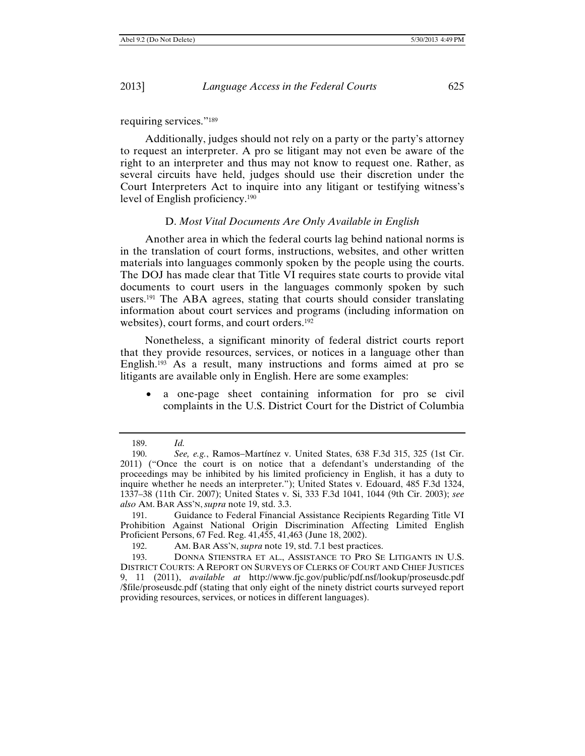requiring services."189

Additionally, judges should not rely on a party or the party's attorney to request an interpreter. A pro se litigant may not even be aware of the right to an interpreter and thus may not know to request one. Rather, as several circuits have held, judges should use their discretion under the Court Interpreters Act to inquire into any litigant or testifying witness's level of English proficiency.190

#### D. *Most Vital Documents Are Only Available in English*

Another area in which the federal courts lag behind national norms is in the translation of court forms, instructions, websites, and other written materials into languages commonly spoken by the people using the courts. The DOJ has made clear that Title VI requires state courts to provide vital documents to court users in the languages commonly spoken by such users.191 The ABA agrees, stating that courts should consider translating information about court services and programs (including information on websites), court forms, and court orders.<sup>192</sup>

Nonetheless, a significant minority of federal district courts report that they provide resources, services, or notices in a language other than English.193 As a result, many instructions and forms aimed at pro se litigants are available only in English. Here are some examples:

 a one-page sheet containing information for pro se civil complaints in the U.S. District Court for the District of Columbia

<sup>189.</sup> *Id.*

<sup>190.</sup> *See, e.g.*, Ramos-Martínez v. United States, 638 F.3d 315, 325 (1st Cir. 2011) ("Once the court is on notice that a defendant's understanding of the proceedings may be inhibited by his limited proficiency in English, it has a duty to inquire whether he needs an interpreter."); United States v. Edouard, 485 F.3d 1324, 1337–38 (11th Cir. 2007); United States v. Si, 333 F.3d 1041, 1044 (9th Cir. 2003); *see also* AM. BAR ASS'N,*supra* note 19, std. 3.3.

<sup>191.</sup> Guidance to Federal Financial Assistance Recipients Regarding Title VI Prohibition Against National Origin Discrimination Affecting Limited English Proficient Persons, 67 Fed. Reg. 41,455, 41,463 (June 18, 2002).

<sup>192.</sup> AM. BAR ASS'N, *supra* note 19, std. 7.1 best practices.

<sup>193.</sup> DONNA STIENSTRA ET AL., ASSISTANCE TO PRO SE LITIGANTS IN U.S. DISTRICT COURTS: A REPORT ON SURVEYS OF CLERKS OF COURT AND CHIEF JUSTICES 9, 11 (2011), *available at* http://www.fjc.gov/public/pdf.nsf/lookup/proseusdc.pdf /\$file/proseusdc.pdf (stating that only eight of the ninety district courts surveyed report providing resources, services, or notices in different languages).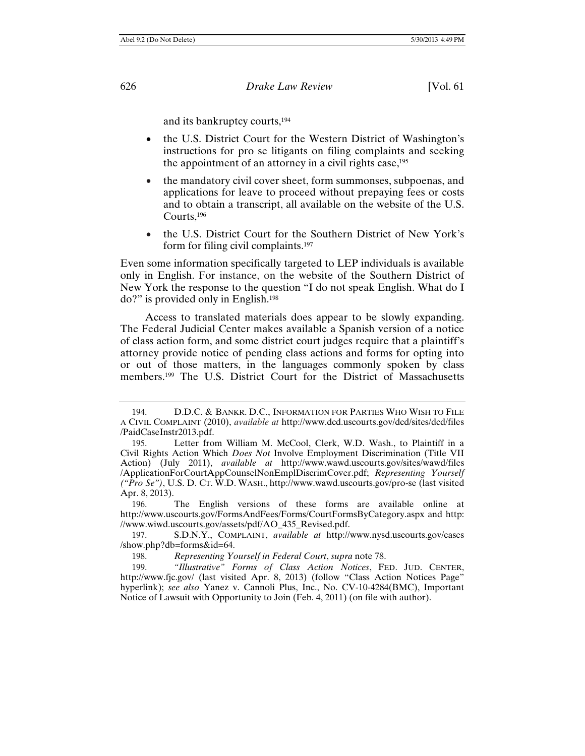and its bankruptcy courts,194

- the U.S. District Court for the Western District of Washington's instructions for pro se litigants on filing complaints and seeking the appointment of an attorney in a civil rights case,<sup>195</sup>
- the mandatory civil cover sheet, form summonses, subpoenas, and applications for leave to proceed without prepaying fees or costs and to obtain a transcript, all available on the website of the U.S. Courts,196
- the U.S. District Court for the Southern District of New York's form for filing civil complaints.197

Even some information specifically targeted to LEP individuals is available only in English. For instance, on the website of the Southern District of New York the response to the question "I do not speak English. What do I do?" is provided only in English.198

Access to translated materials does appear to be slowly expanding. The Federal Judicial Center makes available a Spanish version of a notice of class action form, and some district court judges require that a plaintiff's attorney provide notice of pending class actions and forms for opting into or out of those matters, in the languages commonly spoken by class members.199 The U.S. District Court for the District of Massachusetts

<sup>194.</sup> D.D.C. & BANKR. D.C., INFORMATION FOR PARTIES WHO WISH TO FILE A CIVIL COMPLAINT (2010), *available at* http://www.dcd.uscourts.gov/dcd/sites/dcd/files /PaidCaseInstr2013.pdf.

<sup>195.</sup> Letter from William M. McCool, Clerk, W.D. Wash., to Plaintiff in a Civil Rights Action Which *Does Not* Involve Employment Discrimination (Title VII Action) (July 2011), *available at* http://www.wawd.uscourts.gov/sites/wawd/files /ApplicationForCourtAppCounselNonEmplDiscrimCover.pdf; *Representing Yourself ("Pro Se")*, U.S. D. CT. W.D. WASH., http://www.wawd.uscourts.gov/pro-se (last visited Apr. 8, 2013).

<sup>196.</sup> The English versions of these forms are available online at http://www.uscourts.gov/FormsAndFees/Forms/CourtFormsByCategory.aspx and http: //www.wiwd.uscourts.gov/assets/pdf/AO\_435\_Revised.pdf.

<sup>197.</sup> S.D.N.Y., COMPLAINT, *available at* http://www.nysd.uscourts.gov/cases /show.php?db=forms&id=64.

<sup>198.</sup> *Representing Yourself in Federal Court*, *supra* note 78.

<sup>199.</sup> *"Illustrative" Forms of Class Action Notices*, FED. JUD. CENTER, http://www.fjc.gov/ (last visited Apr. 8, 2013) (follow "Class Action Notices Page" hyperlink); *see also* Yanez v. Cannoli Plus, Inc., No. CV-10-4284(BMC), Important Notice of Lawsuit with Opportunity to Join (Feb. 4, 2011) (on file with author).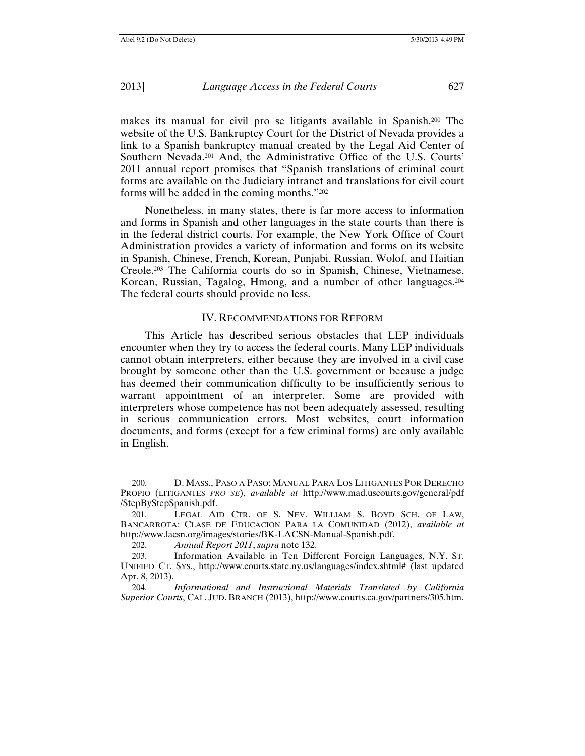makes its manual for civil pro se litigants available in Spanish.200 The website of the U.S. Bankruptcy Court for the District of Nevada provides a link to a Spanish bankruptcy manual created by the Legal Aid Center of Southern Nevada.201 And, the Administrative Office of the U.S. Courts' 2011 annual report promises that "Spanish translations of criminal court forms are available on the Judiciary intranet and translations for civil court forms will be added in the coming months."202

Nonetheless, in many states, there is far more access to information and forms in Spanish and other languages in the state courts than there is in the federal district courts. For example, the New York Office of Court Administration provides a variety of information and forms on its website in Spanish, Chinese, French, Korean, Punjabi, Russian, Wolof, and Haitian Creole.203 The California courts do so in Spanish, Chinese, Vietnamese, Korean, Russian, Tagalog, Hmong, and a number of other languages.204 The federal courts should provide no less.

## IV. RECOMMENDATIONS FOR REFORM

This Article has described serious obstacles that LEP individuals encounter when they try to access the federal courts. Many LEP individuals cannot obtain interpreters, either because they are involved in a civil case brought by someone other than the U.S. government or because a judge has deemed their communication difficulty to be insufficiently serious to warrant appointment of an interpreter. Some are provided with interpreters whose competence has not been adequately assessed, resulting in serious communication errors. Most websites, court information documents, and forms (except for a few criminal forms) are only available in English.

<sup>200.</sup> D. MASS., PASO A PASO: MANUAL PARA LOS LITIGANTES POR DERECHO PROPIO (LITIGANTES *PRO SE*), *available at* http://www.mad.uscourts.gov/general/pdf /StepByStepSpanish.pdf.

<sup>201.</sup> LEGAL AID CTR. OF S. NEV. WILLIAM S. BOYD SCH. OF LAW, BANCARROTA: CLASE DE EDUCACION PARA LA COMUNIDAD (2012), *available at*  http://www.lacsn.org/images/stories/BK-LACSN-Manual-Spanish.pdf.

<sup>202.</sup> *Annual Report 2011*, *supra* note 132.

<sup>203.</sup> Information Available in Ten Different Foreign Languages, N.Y. ST. UNIFIED CT. SYS., http://www.courts.state.ny.us/languages/index.shtml# (last updated Apr. 8, 2013).

<sup>204.</sup> *Informational and Instructional Materials Translated by California Superior Courts*, CAL. JUD. BRANCH (2013), http://www.courts.ca.gov/partners/305.htm.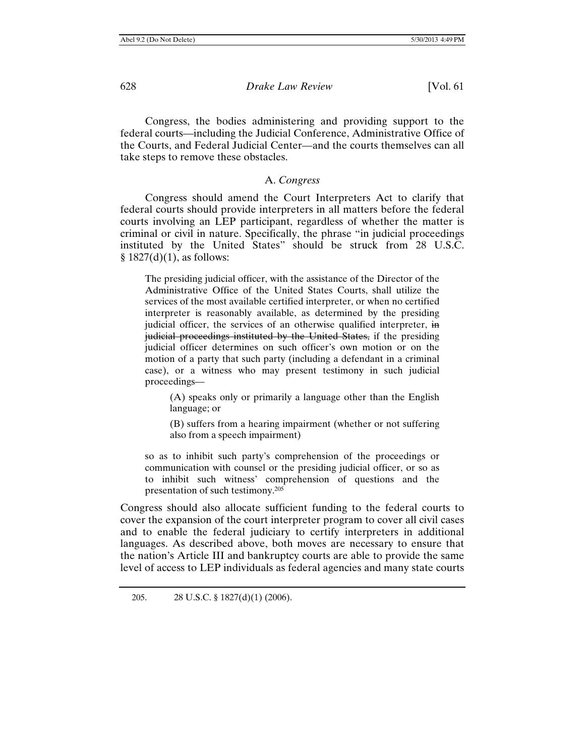Congress, the bodies administering and providing support to the federal courts—including the Judicial Conference, Administrative Office of the Courts, and Federal Judicial Center—and the courts themselves can all take steps to remove these obstacles.

## A. *Congress*

Congress should amend the Court Interpreters Act to clarify that federal courts should provide interpreters in all matters before the federal courts involving an LEP participant, regardless of whether the matter is criminal or civil in nature. Specifically, the phrase "in judicial proceedings instituted by the United States" should be struck from 28 U.S.C.  $§ 1827(d)(1)$ , as follows:

The presiding judicial officer, with the assistance of the Director of the Administrative Office of the United States Courts, shall utilize the services of the most available certified interpreter, or when no certified interpreter is reasonably available, as determined by the presiding judicial officer, the services of an otherwise qualified interpreter, in judicial proceedings instituted by the United States, if the presiding judicial officer determines on such officer's own motion or on the motion of a party that such party (including a defendant in a criminal case), or a witness who may present testimony in such judicial proceedings—

(A) speaks only or primarily a language other than the English language; or

(B) suffers from a hearing impairment (whether or not suffering also from a speech impairment)

so as to inhibit such party's comprehension of the proceedings or communication with counsel or the presiding judicial officer, or so as to inhibit such witness' comprehension of questions and the presentation of such testimony.205

Congress should also allocate sufficient funding to the federal courts to cover the expansion of the court interpreter program to cover all civil cases and to enable the federal judiciary to certify interpreters in additional languages. As described above, both moves are necessary to ensure that the nation's Article III and bankruptcy courts are able to provide the same level of access to LEP individuals as federal agencies and many state courts

<sup>205. 28</sup> U.S.C. § 1827(d)(1) (2006).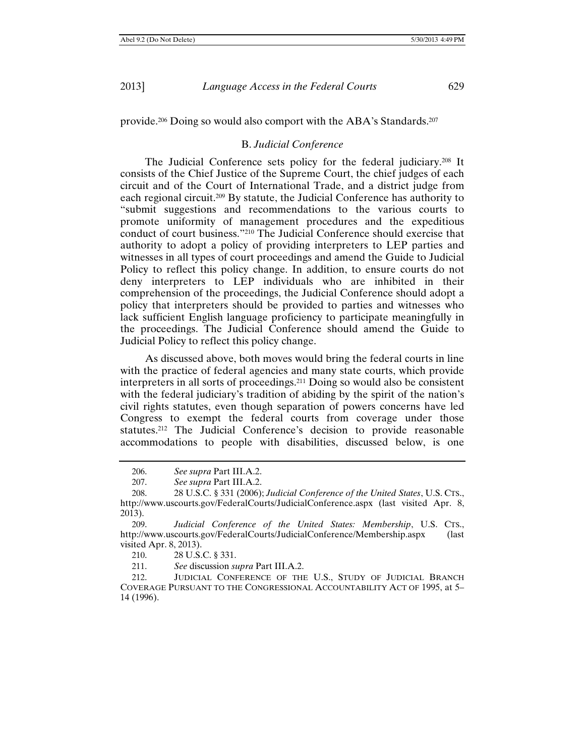provide.206 Doing so would also comport with the ABA's Standards.207

#### B. *Judicial Conference*

The Judicial Conference sets policy for the federal judiciary.208 It consists of the Chief Justice of the Supreme Court, the chief judges of each circuit and of the Court of International Trade, and a district judge from each regional circuit.209 By statute, the Judicial Conference has authority to "submit suggestions and recommendations to the various courts to promote uniformity of management procedures and the expeditious conduct of court business."210 The Judicial Conference should exercise that authority to adopt a policy of providing interpreters to LEP parties and witnesses in all types of court proceedings and amend the Guide to Judicial Policy to reflect this policy change. In addition, to ensure courts do not deny interpreters to LEP individuals who are inhibited in their comprehension of the proceedings, the Judicial Conference should adopt a policy that interpreters should be provided to parties and witnesses who lack sufficient English language proficiency to participate meaningfully in the proceedings. The Judicial Conference should amend the Guide to Judicial Policy to reflect this policy change.

As discussed above, both moves would bring the federal courts in line with the practice of federal agencies and many state courts, which provide interpreters in all sorts of proceedings.211 Doing so would also be consistent with the federal judiciary's tradition of abiding by the spirit of the nation's civil rights statutes, even though separation of powers concerns have led Congress to exempt the federal courts from coverage under those statutes.212 The Judicial Conference's decision to provide reasonable accommodations to people with disabilities, discussed below, is one

210. 28 U.S.C. § 331.

211. *See* discussion *supra* Part III.A.2.

212. JUDICIAL CONFERENCE OF THE U.S., STUDY OF JUDICIAL BRANCH COVERAGE PURSUANT TO THE CONGRESSIONAL ACCOUNTABILITY ACT OF 1995, at 5– 14 (1996).

<sup>206.</sup> *See supra* Part III.A.2.

<sup>207.</sup> *See supra* Part III.A.2.

<sup>208. 28</sup> U.S.C. § 331 (2006); *Judicial Conference of the United States*, U.S. CTS., http://www.uscourts.gov/FederalCourts/JudicialConference.aspx (last visited Apr. 8, 2013).

<sup>209.</sup> *Judicial Conference of the United States: Membership*, U.S. CTS., http://www.uscourts.gov/FederalCourts/JudicialConference/Membership.aspx (last visited Apr. 8, 2013).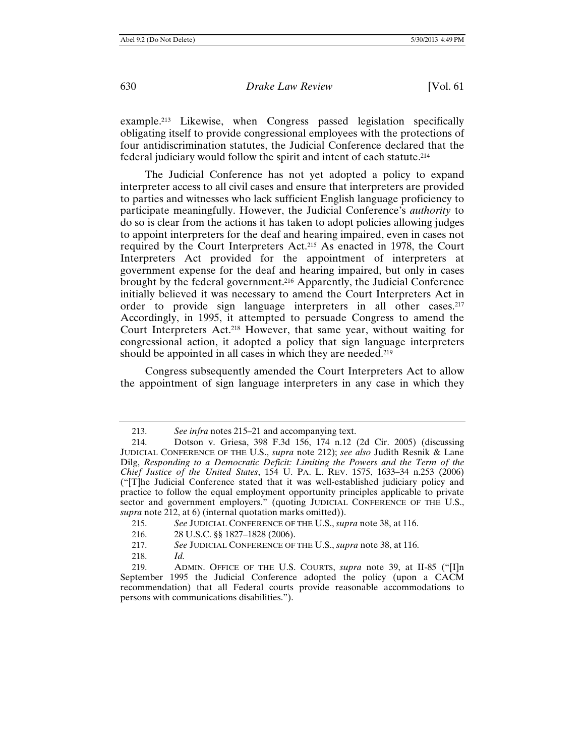example.213 Likewise, when Congress passed legislation specifically obligating itself to provide congressional employees with the protections of four antidiscrimination statutes, the Judicial Conference declared that the federal judiciary would follow the spirit and intent of each statute.214

The Judicial Conference has not yet adopted a policy to expand interpreter access to all civil cases and ensure that interpreters are provided to parties and witnesses who lack sufficient English language proficiency to participate meaningfully. However, the Judicial Conference's *authority* to do so is clear from the actions it has taken to adopt policies allowing judges to appoint interpreters for the deaf and hearing impaired, even in cases not required by the Court Interpreters Act.215 As enacted in 1978, the Court Interpreters Act provided for the appointment of interpreters at government expense for the deaf and hearing impaired, but only in cases brought by the federal government.216 Apparently, the Judicial Conference initially believed it was necessary to amend the Court Interpreters Act in order to provide sign language interpreters in all other cases.217 Accordingly, in 1995, it attempted to persuade Congress to amend the Court Interpreters Act.218 However, that same year, without waiting for congressional action, it adopted a policy that sign language interpreters should be appointed in all cases in which they are needed.<sup>219</sup>

Congress subsequently amended the Court Interpreters Act to allow the appointment of sign language interpreters in any case in which they

<sup>213.</sup> *See infra* notes 215–21 and accompanying text.

<sup>214.</sup> Dotson v. Griesa, 398 F.3d 156, 174 n.12 (2d Cir. 2005) (discussing JUDICIAL CONFERENCE OF THE U.S., *supra* note 212); *see also* Judith Resnik & Lane Dilg, *Responding to a Democratic Deficit: Limiting the Powers and the Term of the Chief Justice of the United States*, 154 U. PA. L. REV. 1575, 1633–34 n.253 (2006) ("[T]he Judicial Conference stated that it was well-established judiciary policy and practice to follow the equal employment opportunity principles applicable to private sector and government employers." (quoting JUDICIAL CONFERENCE OF THE U.S., *supra* note 212, at 6) (internal quotation marks omitted)).

<sup>215.</sup> *See* JUDICIAL CONFERENCE OF THE U.S., *supra* note 38, at 116.

<sup>216.</sup>28 U.S.C. §§ 1827–1828 (2006).

<sup>217.</sup> *See* JUDICIAL CONFERENCE OF THE U.S., *supra* note 38, at 116.

<sup>218.</sup> *Id.*

<sup>219.</sup> ADMIN. OFFICE OF THE U.S. COURTS, *supra* note 39, at II-85 ("[I]n September 1995 the Judicial Conference adopted the policy (upon a CACM recommendation) that all Federal courts provide reasonable accommodations to persons with communications disabilities.").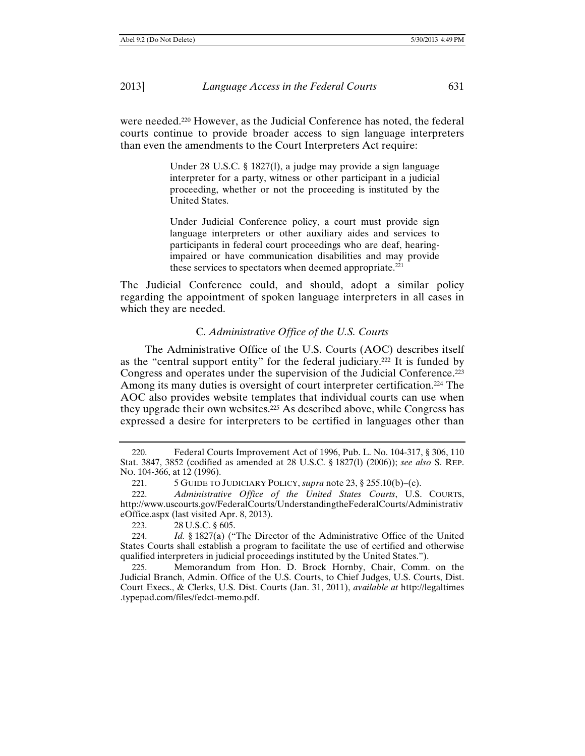were needed.220 However, as the Judicial Conference has noted, the federal courts continue to provide broader access to sign language interpreters than even the amendments to the Court Interpreters Act require:

> Under 28 U.S.C. § 1827(l), a judge may provide a sign language interpreter for a party, witness or other participant in a judicial proceeding, whether or not the proceeding is instituted by the United States.

> Under Judicial Conference policy, a court must provide sign language interpreters or other auxiliary aides and services to participants in federal court proceedings who are deaf, hearingimpaired or have communication disabilities and may provide these services to spectators when deemed appropriate. $221$

The Judicial Conference could, and should, adopt a similar policy regarding the appointment of spoken language interpreters in all cases in which they are needed.

## C. *Administrative Office of the U.S. Courts*

The Administrative Office of the U.S. Courts (AOC) describes itself as the "central support entity" for the federal judiciary.222 It is funded by Congress and operates under the supervision of the Judicial Conference.<sup>223</sup> Among its many duties is oversight of court interpreter certification.224 The AOC also provides website templates that individual courts can use when they upgrade their own websites.<sup>225</sup> As described above, while Congress has expressed a desire for interpreters to be certified in languages other than

<sup>220.</sup> Federal Courts Improvement Act of 1996, Pub. L. No. 104-317, § 306, 110 Stat. 3847, 3852 (codified as amended at 28 U.S.C. § 1827(l) (2006)); *see also* S. REP. NO. 104-366, at 12 (1996).

<sup>221. 5</sup> GUIDE TO JUDICIARY POLICY, *supra* note 23, § 255.10(b)–(c).

<sup>222.</sup> *Administrative Office of the United States Courts*, U.S. COURTS, http://www.uscourts.gov/FederalCourts/UnderstandingtheFederalCourts/Administrativ eOffice.aspx (last visited Apr. 8, 2013).

<sup>223. 28</sup> U.S.C. § 605.

<sup>224.</sup> *Id.* § 1827(a) ("The Director of the Administrative Office of the United States Courts shall establish a program to facilitate the use of certified and otherwise qualified interpreters in judicial proceedings instituted by the United States.").

<sup>225.</sup> Memorandum from Hon. D. Brock Hornby, Chair, Comm. on the Judicial Branch, Admin. Office of the U.S. Courts, to Chief Judges, U.S. Courts, Dist. Court Execs., & Clerks, U.S. Dist. Courts (Jan. 31, 2011), *available at* http://legaltimes .typepad.com/files/fedct-memo.pdf.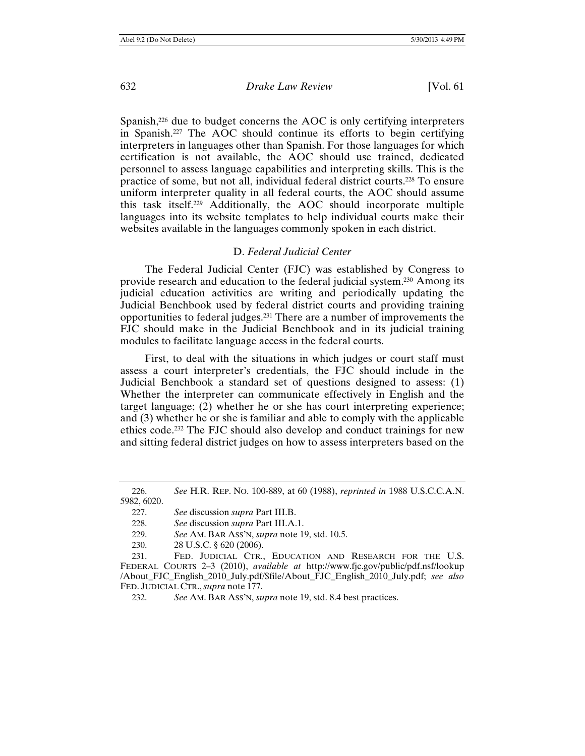Spanish,<sup>226</sup> due to budget concerns the AOC is only certifying interpreters in Spanish.227 The AOC should continue its efforts to begin certifying interpreters in languages other than Spanish. For those languages for which certification is not available, the AOC should use trained, dedicated personnel to assess language capabilities and interpreting skills. This is the practice of some, but not all, individual federal district courts.228 To ensure uniform interpreter quality in all federal courts, the AOC should assume this task itself.229 Additionally, the AOC should incorporate multiple languages into its website templates to help individual courts make their websites available in the languages commonly spoken in each district.

## D. *Federal Judicial Center*

The Federal Judicial Center (FJC) was established by Congress to provide research and education to the federal judicial system.230 Among its judicial education activities are writing and periodically updating the Judicial Benchbook used by federal district courts and providing training opportunities to federal judges.231 There are a number of improvements the FJC should make in the Judicial Benchbook and in its judicial training modules to facilitate language access in the federal courts.

First, to deal with the situations in which judges or court staff must assess a court interpreter's credentials, the FJC should include in the Judicial Benchbook a standard set of questions designed to assess: (1) Whether the interpreter can communicate effectively in English and the target language; (2) whether he or she has court interpreting experience; and (3) whether he or she is familiar and able to comply with the applicable ethics code.232 The FJC should also develop and conduct trainings for new and sitting federal district judges on how to assess interpreters based on the

- 229. *See* AM. BAR ASS'N, *supra* note 19, std. 10.5.
- 230. 28 U.S.C. § 620 (2006).

<sup>226.</sup> *See* H.R. REP. NO. 100-889, at 60 (1988), *reprinted in* 1988 U.S.C.C.A.N. 5982, 6020.

<sup>227.</sup> *See* discussion *supra* Part III.B.

<sup>228.</sup> *See* discussion *supra* Part III.A.1.

<sup>231.</sup> FED. JUDICIAL CTR., EDUCATION AND RESEARCH FOR THE U.S. FEDERAL COURTS 2–3 (2010), *available at* http://www.fjc.gov/public/pdf.nsf/lookup /About\_FJC\_English\_2010\_July.pdf/\$file/About\_FJC\_English\_2010\_July.pdf; *see also*  FED. JUDICIAL CTR., *supra* note 177.

<sup>232.</sup> *See* AM. BAR ASS'N, *supra* note 19, std. 8.4 best practices.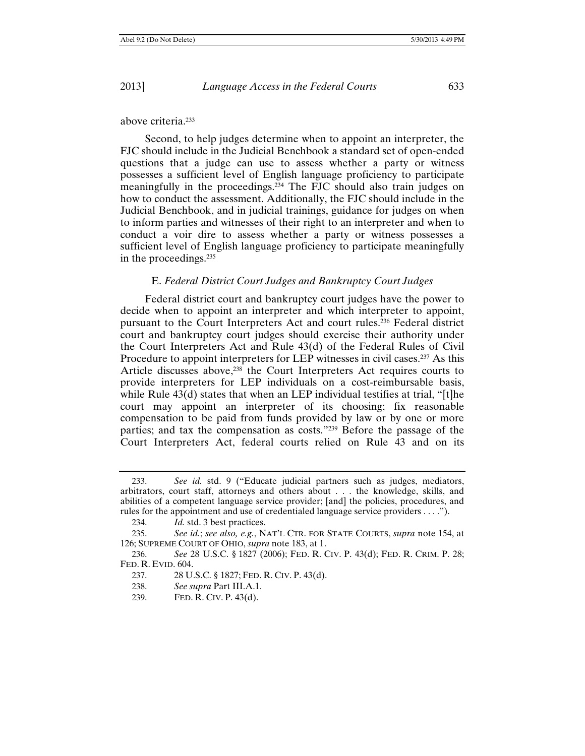above criteria.233

Second, to help judges determine when to appoint an interpreter, the FJC should include in the Judicial Benchbook a standard set of open-ended questions that a judge can use to assess whether a party or witness possesses a sufficient level of English language proficiency to participate meaningfully in the proceedings.234 The FJC should also train judges on how to conduct the assessment. Additionally, the FJC should include in the Judicial Benchbook, and in judicial trainings, guidance for judges on when to inform parties and witnesses of their right to an interpreter and when to conduct a voir dire to assess whether a party or witness possesses a sufficient level of English language proficiency to participate meaningfully in the proceedings.235

#### E. *Federal District Court Judges and Bankruptcy Court Judges*

Federal district court and bankruptcy court judges have the power to decide when to appoint an interpreter and which interpreter to appoint, pursuant to the Court Interpreters Act and court rules.236 Federal district court and bankruptcy court judges should exercise their authority under the Court Interpreters Act and Rule 43(d) of the Federal Rules of Civil Procedure to appoint interpreters for LEP witnesses in civil cases.<sup>237</sup> As this Article discusses above,<sup>238</sup> the Court Interpreters Act requires courts to provide interpreters for LEP individuals on a cost-reimbursable basis, while Rule  $43(d)$  states that when an LEP individual testifies at trial, "[t]he court may appoint an interpreter of its choosing; fix reasonable compensation to be paid from funds provided by law or by one or more parties; and tax the compensation as costs."239 Before the passage of the Court Interpreters Act, federal courts relied on Rule 43 and on its

<sup>233.</sup> *See id.* std. 9 ("Educate judicial partners such as judges, mediators, arbitrators, court staff, attorneys and others about . . . the knowledge, skills, and abilities of a competent language service provider; [and] the policies, procedures, and rules for the appointment and use of credentialed language service providers . . . .").

<sup>234.</sup> *Id.* std. 3 best practices.

<sup>235.</sup> *See id.*; *see also, e.g.*, NAT'L CTR. FOR STATE COURTS, *supra* note 154, at 126; SUPREME COURT OF OHIO, *supra* note 183, at 1.

<sup>236.</sup> *See* 28 U.S.C. § 1827 (2006); FED. R. CIV. P. 43(d); FED. R. CRIM. P. 28; FED. R. EVID. 604.

<sup>237. 28</sup> U.S.C. § 1827; FED. R. CIV. P. 43(d).

<sup>238.</sup> *See supra* Part III.A.1.

<sup>239.</sup> FED. R. CIV. P. 43(d).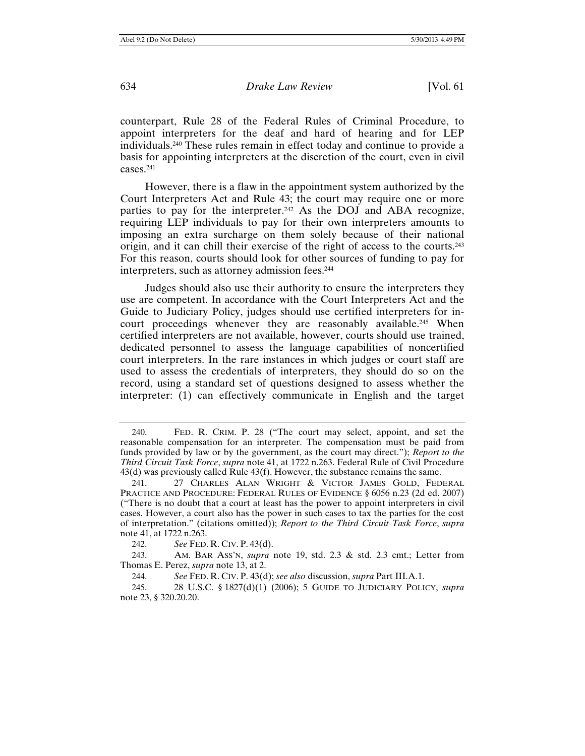counterpart, Rule 28 of the Federal Rules of Criminal Procedure, to appoint interpreters for the deaf and hard of hearing and for LEP individuals.240 These rules remain in effect today and continue to provide a basis for appointing interpreters at the discretion of the court, even in civil cases.241

However, there is a flaw in the appointment system authorized by the Court Interpreters Act and Rule 43; the court may require one or more parties to pay for the interpreter.<sup>242</sup> As the DOJ and ABA recognize, requiring LEP individuals to pay for their own interpreters amounts to imposing an extra surcharge on them solely because of their national origin, and it can chill their exercise of the right of access to the courts.243 For this reason, courts should look for other sources of funding to pay for interpreters, such as attorney admission fees.244

Judges should also use their authority to ensure the interpreters they use are competent. In accordance with the Court Interpreters Act and the Guide to Judiciary Policy, judges should use certified interpreters for incourt proceedings whenever they are reasonably available.<sup>245</sup> When certified interpreters are not available, however, courts should use trained, dedicated personnel to assess the language capabilities of noncertified court interpreters. In the rare instances in which judges or court staff are used to assess the credentials of interpreters, they should do so on the record, using a standard set of questions designed to assess whether the interpreter: (1) can effectively communicate in English and the target

<sup>240.</sup>FED. R. CRIM. P. 28 ("The court may select, appoint, and set the reasonable compensation for an interpreter. The compensation must be paid from funds provided by law or by the government, as the court may direct."); *Report to the Third Circuit Task Force*, *supra* note 41, at 1722 n.263. Federal Rule of Civil Procedure 43(d) was previously called Rule 43(f). However, the substance remains the same.

<sup>241. 27</sup> CHARLES ALAN WRIGHT & VICTOR JAMES GOLD, FEDERAL PRACTICE AND PROCEDURE: FEDERAL RULES OF EVIDENCE § 6056 n.23 (2d ed. 2007) ("There is no doubt that a court at least has the power to appoint interpreters in civil cases. However, a court also has the power in such cases to tax the parties for the cost of interpretation." (citations omitted)); *Report to the Third Circuit Task Force*, *supra*  note 41, at 1722 n.263.

<sup>242.</sup> *See* FED. R. CIV. P. 43(d).

<sup>243.</sup> AM. BAR ASS'N, *supra* note 19, std. 2.3 & std. 2.3 cmt.; Letter from Thomas E. Perez, *supra* note 13, at 2.

<sup>244.</sup> *See* FED. R. CIV. P. 43(d); *see also* discussion, *supra* Part III.A.1.

<sup>245. 28</sup> U.S.C. § 1827(d)(1) (2006); 5 GUIDE TO JUDICIARY POLICY, *supra* note 23, § 320.20.20.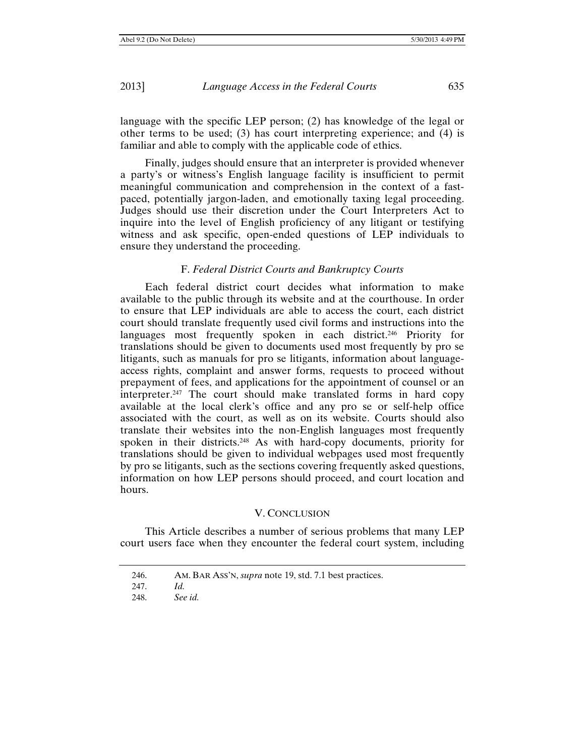language with the specific LEP person; (2) has knowledge of the legal or other terms to be used; (3) has court interpreting experience; and (4) is familiar and able to comply with the applicable code of ethics.

Finally, judges should ensure that an interpreter is provided whenever a party's or witness's English language facility is insufficient to permit meaningful communication and comprehension in the context of a fastpaced, potentially jargon-laden, and emotionally taxing legal proceeding. Judges should use their discretion under the Court Interpreters Act to inquire into the level of English proficiency of any litigant or testifying witness and ask specific, open-ended questions of LEP individuals to ensure they understand the proceeding.

#### F. *Federal District Courts and Bankruptcy Courts*

Each federal district court decides what information to make available to the public through its website and at the courthouse. In order to ensure that LEP individuals are able to access the court, each district court should translate frequently used civil forms and instructions into the languages most frequently spoken in each district.<sup>246</sup> Priority for translations should be given to documents used most frequently by pro se litigants, such as manuals for pro se litigants, information about languageaccess rights, complaint and answer forms, requests to proceed without prepayment of fees, and applications for the appointment of counsel or an interpreter.247 The court should make translated forms in hard copy available at the local clerk's office and any pro se or self-help office associated with the court, as well as on its website. Courts should also translate their websites into the non-English languages most frequently spoken in their districts.248 As with hard-copy documents, priority for translations should be given to individual webpages used most frequently by pro se litigants, such as the sections covering frequently asked questions, information on how LEP persons should proceed, and court location and hours.

#### V. CONCLUSION

This Article describes a number of serious problems that many LEP court users face when they encounter the federal court system, including

<sup>246.</sup> AM. BAR ASS'N, *supra* note 19, std. 7.1 best practices.

<sup>247.</sup> *Id.*

<sup>248.</sup> *See id.*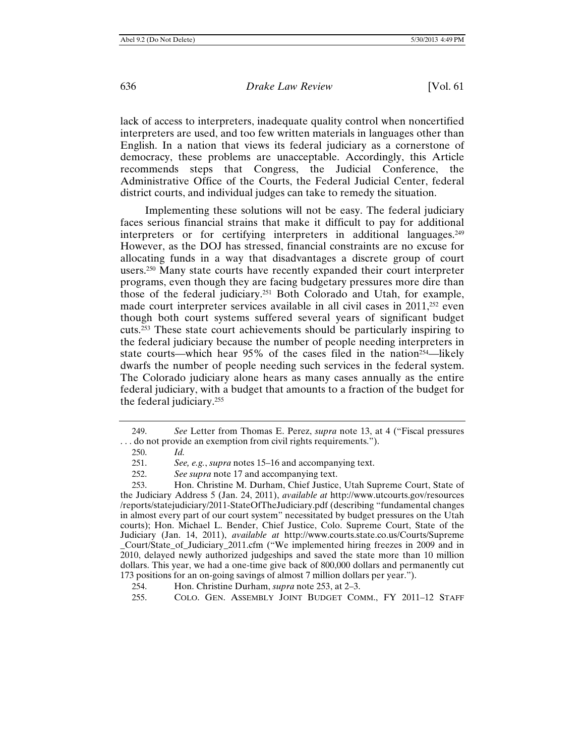lack of access to interpreters, inadequate quality control when noncertified interpreters are used, and too few written materials in languages other than English. In a nation that views its federal judiciary as a cornerstone of democracy, these problems are unacceptable. Accordingly, this Article recommends steps that Congress, the Judicial Conference, the Administrative Office of the Courts, the Federal Judicial Center, federal district courts, and individual judges can take to remedy the situation.

Implementing these solutions will not be easy. The federal judiciary faces serious financial strains that make it difficult to pay for additional interpreters or for certifying interpreters in additional languages.249 However, as the DOJ has stressed, financial constraints are no excuse for allocating funds in a way that disadvantages a discrete group of court users.250 Many state courts have recently expanded their court interpreter programs, even though they are facing budgetary pressures more dire than those of the federal judiciary.251 Both Colorado and Utah, for example, made court interpreter services available in all civil cases in 2011,252 even though both court systems suffered several years of significant budget cuts.253 These state court achievements should be particularly inspiring to the federal judiciary because the number of people needing interpreters in state courts—which hear 95% of the cases filed in the nation<sup>254</sup>—likely dwarfs the number of people needing such services in the federal system. The Colorado judiciary alone hears as many cases annually as the entire federal judiciary, with a budget that amounts to a fraction of the budget for the federal judiciary.255

<sup>249.</sup> *See* Letter from Thomas E. Perez, *supra* note 13, at 4 ("Fiscal pressures . . . do not provide an exemption from civil rights requirements.").

<sup>250.</sup> *Id.*

<sup>251.</sup> *See, e.g.*, *supra* notes 15–16 and accompanying text.

<sup>252.</sup> *See supra* note 17 and accompanying text.

<sup>253.</sup> Hon. Christine M. Durham, Chief Justice, Utah Supreme Court, State of the Judiciary Address 5 (Jan. 24, 2011), *available at* http://www.utcourts.gov/resources /reports/statejudiciary/2011-StateOfTheJudiciary.pdf (describing "fundamental changes in almost every part of our court system" necessitated by budget pressures on the Utah courts); Hon. Michael L. Bender, Chief Justice, Colo. Supreme Court, State of the Judiciary (Jan. 14, 2011), *available at* http://www.courts.state.co.us/Courts/Supreme \_Court/State\_of\_Judiciary\_2011.cfm ("We implemented hiring freezes in 2009 and in 2010, delayed newly authorized judgeships and saved the state more than 10 million dollars. This year, we had a one-time give back of 800,000 dollars and permanently cut 173 positions for an on-going savings of almost 7 million dollars per year.").

<sup>254.</sup> Hon. Christine Durham, *supra* note 253, at 2–3.

<sup>255.</sup> COLO. GEN. ASSEMBLY JOINT BUDGET COMM., FY 2011–12 STAFF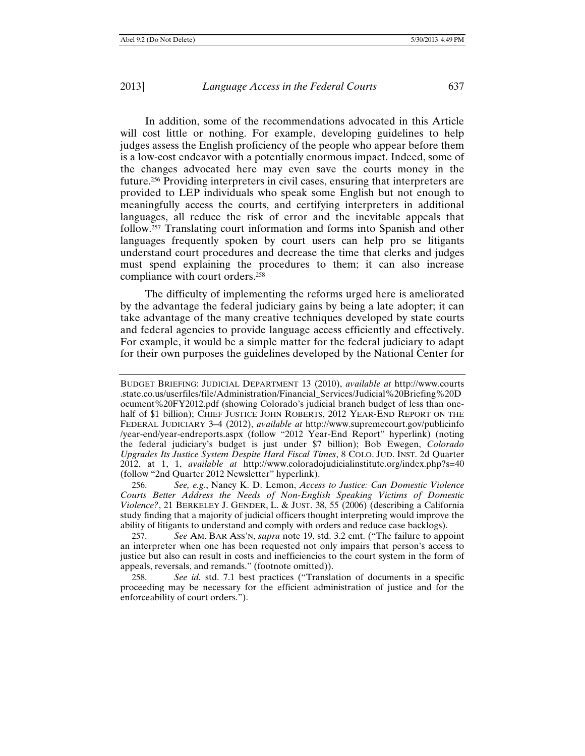In addition, some of the recommendations advocated in this Article will cost little or nothing. For example, developing guidelines to help judges assess the English proficiency of the people who appear before them is a low-cost endeavor with a potentially enormous impact. Indeed, some of the changes advocated here may even save the courts money in the future.256 Providing interpreters in civil cases, ensuring that interpreters are provided to LEP individuals who speak some English but not enough to meaningfully access the courts, and certifying interpreters in additional languages, all reduce the risk of error and the inevitable appeals that follow.257 Translating court information and forms into Spanish and other languages frequently spoken by court users can help pro se litigants understand court procedures and decrease the time that clerks and judges must spend explaining the procedures to them; it can also increase compliance with court orders.258

The difficulty of implementing the reforms urged here is ameliorated by the advantage the federal judiciary gains by being a late adopter; it can take advantage of the many creative techniques developed by state courts and federal agencies to provide language access efficiently and effectively. For example, it would be a simple matter for the federal judiciary to adapt for their own purposes the guidelines developed by the National Center for

256. *See, e.g.*, Nancy K. D. Lemon, *Access to Justice: Can Domestic Violence Courts Better Address the Needs of Non-English Speaking Victims of Domestic Violence?*, 21 BERKELEY J. GENDER, L. & JUST. 38, 55 (2006) (describing a California study finding that a majority of judicial officers thought interpreting would improve the ability of litigants to understand and comply with orders and reduce case backlogs).

257. *See* AM. BAR ASS'N, *supra* note 19, std. 3.2 cmt. ("The failure to appoint an interpreter when one has been requested not only impairs that person's access to justice but also can result in costs and inefficiencies to the court system in the form of appeals, reversals, and remands." (footnote omitted)).

258. *See id.* std. 7.1 best practices ("Translation of documents in a specific proceeding may be necessary for the efficient administration of justice and for the enforceability of court orders.").

BUDGET BRIEFING: JUDICIAL DEPARTMENT 13 (2010), *available at* http://www.courts .state.co.us/userfiles/file/Administration/Financial\_Services/Judicial%20Briefing%20D ocument%20FY2012.pdf (showing Colorado's judicial branch budget of less than onehalf of \$1 billion); CHIEF JUSTICE JOHN ROBERTS, 2012 YEAR-END REPORT ON THE FEDERAL JUDICIARY 3–4 (2012), *available at* http://www.supremecourt.gov/publicinfo /year-end/year-endreports.aspx (follow "2012 Year-End Report" hyperlink) (noting the federal judiciary's budget is just under \$7 billion); Bob Ewegen, *Colorado Upgrades Its Justice System Despite Hard Fiscal Times*, 8 COLO. JUD. INST. 2d Quarter 2012, at 1, 1, *available at* http://www.coloradojudicialinstitute.org/index.php?s=40 (follow "2nd Quarter 2012 Newsletter" hyperlink).